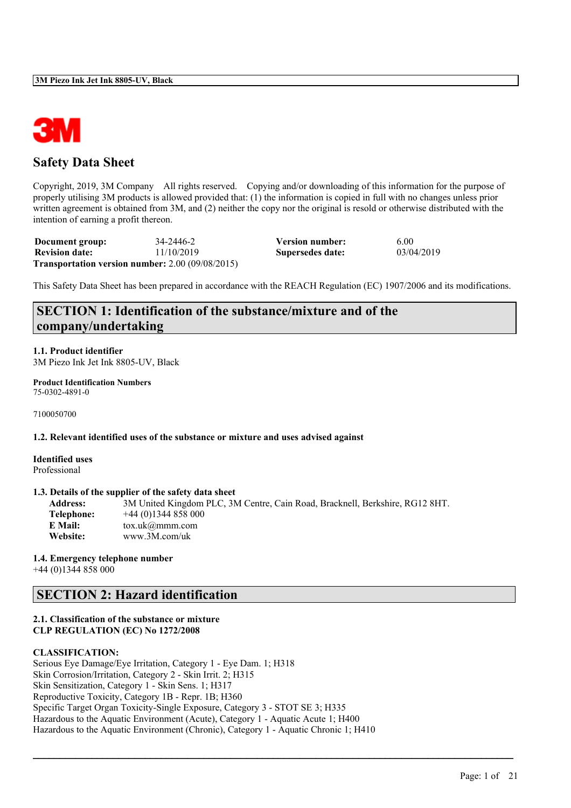

### **Safety Data Sheet**

Copyright, 2019, 3M Company All rights reserved. Copying and/or downloading of this information for the purpose of properly utilising 3M products is allowed provided that: (1) the information is copied in full with no changes unless prior written agreement is obtained from 3M, and (2) neither the copy nor the original is resold or otherwise distributed with the intention of earning a profit thereon.

| Document group:       | 34-2446-2                                                  | <b>Version number:</b> | 6.00       |
|-----------------------|------------------------------------------------------------|------------------------|------------|
| <b>Revision date:</b> | 11/10/2019                                                 | Supersedes date:       | 03/04/2019 |
|                       | <b>Transportation version number:</b> $2.00\,(09/08/2015)$ |                        |            |

This Safety Data Sheet has been prepared in accordance with the REACH Regulation (EC) 1907/2006 and its modifications.

### **SECTION 1: Identification of the substance/mixture and of the company/undertaking**

**1.1. Product identifier** 3M Piezo Ink Jet Ink 8805-UV, Black

**Product Identification Numbers** 75-0302-4891-0

7100050700

**1.2. Relevant identified uses of the substance or mixture and uses advised against**

**Identified uses** Professional

#### **1.3. Details of the supplier of the safety data sheet**

| <b>Address:</b> | 3M United Kingdom PLC, 3M Centre, Cain Road, Bracknell, Berkshire, RG12 8HT. |
|-----------------|------------------------------------------------------------------------------|
| Telephone:      | $+44(0)1344858000$                                                           |
| E Mail:         | $\text{tox.uk}(\mathcal{Q}$ mmm.com                                          |
| <b>Website:</b> | www.3M.com/uk                                                                |

 $\mathcal{L}_\mathcal{L} = \mathcal{L}_\mathcal{L} = \mathcal{L}_\mathcal{L} = \mathcal{L}_\mathcal{L} = \mathcal{L}_\mathcal{L} = \mathcal{L}_\mathcal{L} = \mathcal{L}_\mathcal{L} = \mathcal{L}_\mathcal{L} = \mathcal{L}_\mathcal{L} = \mathcal{L}_\mathcal{L} = \mathcal{L}_\mathcal{L} = \mathcal{L}_\mathcal{L} = \mathcal{L}_\mathcal{L} = \mathcal{L}_\mathcal{L} = \mathcal{L}_\mathcal{L} = \mathcal{L}_\mathcal{L} = \mathcal{L}_\mathcal{L}$ 

#### **1.4. Emergency telephone number**

+44 (0)1344 858 000

### **SECTION 2: Hazard identification**

#### **2.1. Classification of the substance or mixture CLP REGULATION (EC) No 1272/2008**

#### **CLASSIFICATION:**

Serious Eye Damage/Eye Irritation, Category 1 - Eye Dam. 1; H318 Skin Corrosion/Irritation, Category 2 - Skin Irrit. 2; H315 Skin Sensitization, Category 1 - Skin Sens. 1; H317 Reproductive Toxicity, Category 1B - Repr. 1B; H360 Specific Target Organ Toxicity-Single Exposure, Category 3 - STOT SE 3; H335 Hazardous to the Aquatic Environment (Acute), Category 1 - Aquatic Acute 1; H400 Hazardous to the Aquatic Environment (Chronic), Category 1 - Aquatic Chronic 1; H410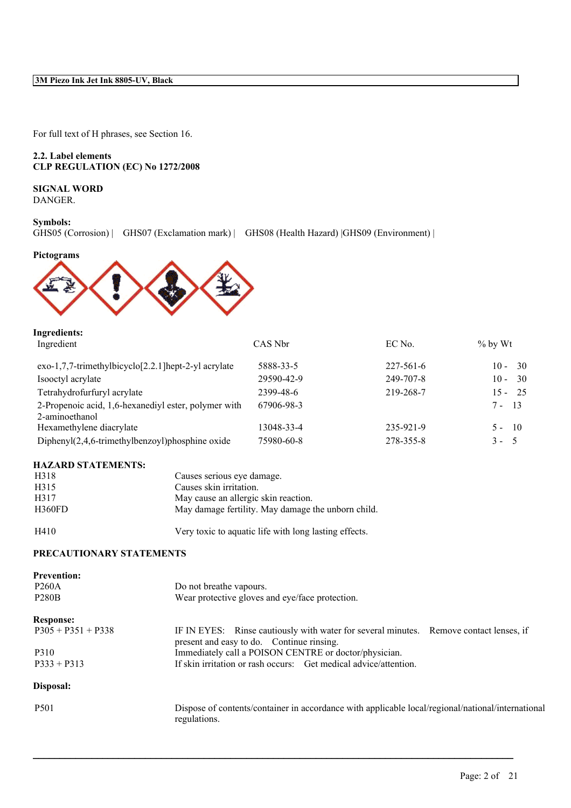For full text of H phrases, see Section 16.

#### **2.2. Label elements CLP REGULATION (EC) No 1272/2008**

#### **SIGNAL WORD** DANGER.

#### **Symbols:**

GHS05 (Corrosion) | GHS07 (Exclamation mark) | GHS08 (Health Hazard) |GHS09 (Environment) |

**Pictograms**



# **Ingredients:**

| Ingredient                                                             | CAS Nbr    | EC No.    | $\%$ by Wt    |
|------------------------------------------------------------------------|------------|-----------|---------------|
| $exo-1,7,7-$ trimethylbicyclo $[2.2.1]$ hept-2-yl acrylate             | 5888-33-5  | 227-561-6 | -30<br>$10 -$ |
| Isooctyl acrylate                                                      | 29590-42-9 | 249-707-8 | -30<br>$10 -$ |
| Tetrahydrofurfuryl acrylate                                            | 2399-48-6  | 219-268-7 | 25<br>$15 -$  |
| 2-Propenoic acid, 1,6-hexanediyl ester, polymer with<br>2-aminoethanol | 67906-98-3 |           | $7 - 13$      |
| Hexamethylene diacrylate                                               | 13048-33-4 | 235-921-9 | $5 - 10$      |
| Diphenyl $(2,4,6$ -trimethylbenzoyl)phosphine oxide                    | 75980-60-8 | 278-355-8 | $3 -$<br>- 5. |
|                                                                        |            |           |               |

#### **HAZARD STATEMENTS:**

| H318   | Causes serious eye damage.                         |
|--------|----------------------------------------------------|
| H315   | Causes skin irritation.                            |
| H317   | May cause an allergic skin reaction.               |
| H360FD | May damage fertility. May damage the unborn child. |
|        |                                                    |

H410 Very toxic to aquatic life with long lasting effects.

### **PRECAUTIONARY STATEMENTS**

| <b>Prevention:</b><br><b>P260A</b> | Do not breathe vapours.                                                                                                             |
|------------------------------------|-------------------------------------------------------------------------------------------------------------------------------------|
| <b>P280B</b>                       | Wear protective gloves and eye/face protection.                                                                                     |
| <b>Response:</b>                   |                                                                                                                                     |
| $P305 + P351 + P338$               | IF IN EYES: Rinse cautiously with water for several minutes. Remove contact lenses, if<br>present and easy to do. Continue rinsing. |
| P310                               | Immediately call a POISON CENTRE or doctor/physician.                                                                               |
| $P333 + P313$                      | If skin irritation or rash occurs: Get medical advice/attention.                                                                    |
| Disposal:                          |                                                                                                                                     |
| P <sub>501</sub>                   | Dispose of contents/container in accordance with applicable local/regional/national/international<br>regulations.                   |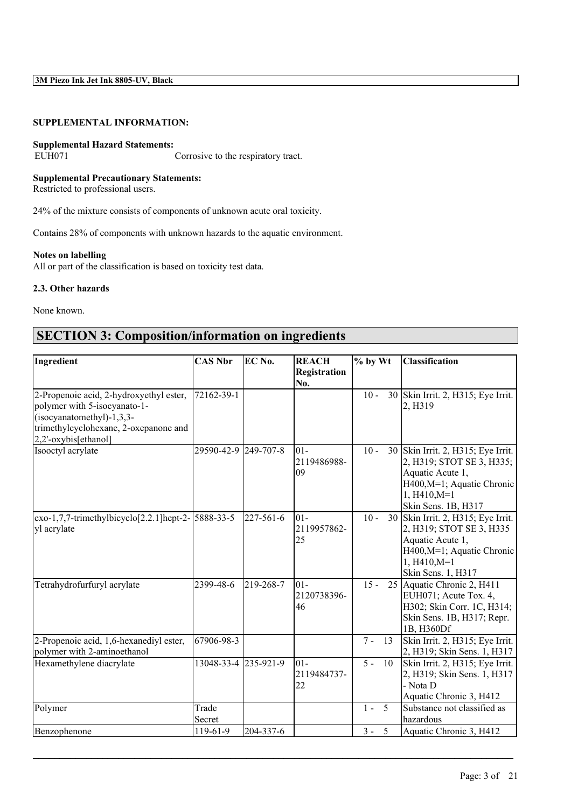### **SUPPLEMENTAL INFORMATION:**

# **Supplemental Hazard Statements:**

Corrosive to the respiratory tract.

#### **Supplemental Precautionary Statements:**

Restricted to professional users.

24% of the mixture consists of components of unknown acute oral toxicity.

Contains 28% of components with unknown hazards to the aquatic environment.

#### **Notes on labelling**

All or part of the classification is based on toxicity test data.

#### **2.3. Other hazards**

None known.

## **SECTION 3: Composition/information on ingredients**

| Ingredient                                                                                                                                                              | <b>CAS Nbr</b>       | EC No.    | <b>REACH</b>                | % by Wt     | <b>Classification</b>                                                                                                                                      |
|-------------------------------------------------------------------------------------------------------------------------------------------------------------------------|----------------------|-----------|-----------------------------|-------------|------------------------------------------------------------------------------------------------------------------------------------------------------------|
|                                                                                                                                                                         |                      |           | <b>Registration</b><br>No.  |             |                                                                                                                                                            |
| 2-Propenoic acid, 2-hydroxyethyl ester,<br>polymer with 5-isocyanato-1-<br>$(isocyanatomethyl)-1,3,3-$<br>trimethylcyclohexane, 2-oxepanone and<br>2,2'-oxybis[ethanol] | 72162-39-1           |           |                             | $10 -$      | 30 Skin Irrit. 2, H315; Eye Irrit.<br>2, H319                                                                                                              |
| Isooctyl acrylate                                                                                                                                                       | 29590-42-9 249-707-8 |           | $ 01-$<br>2119486988-<br>09 | $10 -$      | 30 Skin Irrit. 2, H315; Eye Irrit.<br>2, H319; STOT SE 3, H335;<br>Aquatic Acute 1,<br>H400, M=1; Aquatic Chronic<br>$1, H410, M=1$<br>Skin Sens. 1B, H317 |
| $\exp(-1, 7, 7 - \text{trimethylbicyclo}[2.2.1] \text{hept-2} - 5888 - 33 - 5$<br>yl acrylate                                                                           |                      | 227-561-6 | 101-<br>2119957862-<br>25   | $10 -$      | 30 Skin Irrit. 2, H315; Eye Irrit.<br>2, H319; STOT SE 3, H335<br>Aquatic Acute 1,<br>H400, M=1; Aquatic Chronic<br>$1, H410, M=1$<br>Skin Sens. 1, H317   |
| Tetrahydrofurfuryl acrylate                                                                                                                                             | 2399-48-6            | 219-268-7 | 101-<br>2120738396-<br>46   | $15 -$      | 25 Aquatic Chronic 2, H411<br>EUH071; Acute Tox. 4,<br>H302; Skin Corr. 1C, H314;<br>Skin Sens. 1B, H317; Repr.<br>1B, H360Df                              |
| 2-Propenoic acid, 1,6-hexanediyl ester,<br>polymer with 2-aminoethanol                                                                                                  | 67906-98-3           |           |                             | $7 -$<br>13 | Skin Irrit. 2, H315; Eye Irrit.<br>2, H319; Skin Sens. 1, H317                                                                                             |
| Hexamethylene diacrylate                                                                                                                                                | 13048-33-4 235-921-9 |           | $ 01-$<br>2119484737-<br>22 | $5 -$<br>10 | Skin Irrit. 2, H315; Eye Irrit.<br>2, H319; Skin Sens. 1, H317<br>- Nota D<br>Aquatic Chronic 3, H412                                                      |
| Polymer                                                                                                                                                                 | Trade<br>Secret      |           |                             | 5<br>$1 -$  | Substance not classified as<br>hazardous                                                                                                                   |
| Benzophenone                                                                                                                                                            | 119-61-9             | 204-337-6 |                             | $3 -$<br>5  | Aquatic Chronic 3, H412                                                                                                                                    |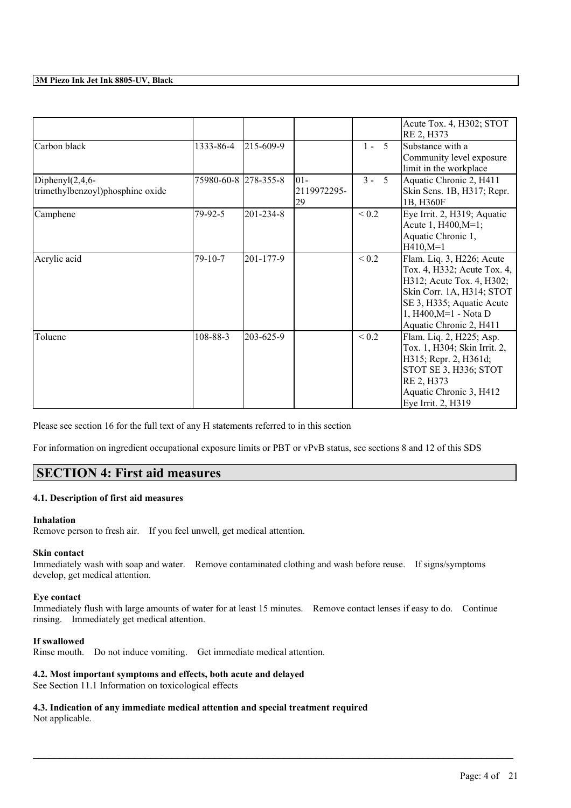|                                                         |                      |           |                             |            | Acute Tox. 4, H302; STOT<br>RE 2, H373                                                                                                                                                              |
|---------------------------------------------------------|----------------------|-----------|-----------------------------|------------|-----------------------------------------------------------------------------------------------------------------------------------------------------------------------------------------------------|
| Carbon black                                            | 1333-86-4            | 215-609-9 |                             | $1 - 5$    | Substance with a<br>Community level exposure<br>limit in the workplace                                                                                                                              |
| Diphenyl $(2,4,6$ -<br>trimethylbenzoyl)phosphine oxide | 75980-60-8 278-355-8 |           | $ 01-$<br>2119972295-<br>29 | $3 -$<br>5 | Aquatic Chronic 2, H411<br>Skin Sens. 1B, H317; Repr.<br>1B, H360F                                                                                                                                  |
| Camphene                                                | 79-92-5              | 201-234-8 |                             | ${}_{0.2}$ | Eye Irrit. 2, H319; Aquatic<br>Acute 1, H400, M=1;<br>Aquatic Chronic 1,<br>$H410,M=1$                                                                                                              |
| Acrylic acid                                            | 79-10-7              | 201-177-9 |                             | ${}_{0.2}$ | Flam. Liq. 3, H226; Acute<br>Tox. 4, H332; Acute Tox. 4,<br>H312; Acute Tox. 4, H302;<br>Skin Corr. 1A, H314; STOT<br>SE 3, H335; Aquatic Acute<br>1, H400, M=1 - Nota D<br>Aquatic Chronic 2, H411 |
| Toluene                                                 | 108-88-3             | 203-625-9 |                             | ${}_{0.2}$ | Flam. Liq. 2, H225; Asp.<br>Tox. 1, H304; Skin Irrit. 2,<br>H315; Repr. 2, H361d;<br>STOT SE 3, H336; STOT<br>RE 2, H373<br>Aquatic Chronic 3, H412<br>Eye Irrit. 2, H319                           |

Please see section 16 for the full text of any H statements referred to in this section

For information on ingredient occupational exposure limits or PBT or vPvB status, see sections 8 and 12 of this SDS

### **SECTION 4: First aid measures**

#### **4.1. Description of first aid measures**

#### **Inhalation**

Remove person to fresh air. If you feel unwell, get medical attention.

#### **Skin contact**

Immediately wash with soap and water. Remove contaminated clothing and wash before reuse. If signs/symptoms develop, get medical attention.

#### **Eye contact**

Immediately flush with large amounts of water for at least 15 minutes. Remove contact lenses if easy to do. Continue rinsing. Immediately get medical attention.

 $\mathcal{L}_\mathcal{L} = \mathcal{L}_\mathcal{L} = \mathcal{L}_\mathcal{L} = \mathcal{L}_\mathcal{L} = \mathcal{L}_\mathcal{L} = \mathcal{L}_\mathcal{L} = \mathcal{L}_\mathcal{L} = \mathcal{L}_\mathcal{L} = \mathcal{L}_\mathcal{L} = \mathcal{L}_\mathcal{L} = \mathcal{L}_\mathcal{L} = \mathcal{L}_\mathcal{L} = \mathcal{L}_\mathcal{L} = \mathcal{L}_\mathcal{L} = \mathcal{L}_\mathcal{L} = \mathcal{L}_\mathcal{L} = \mathcal{L}_\mathcal{L}$ 

#### **If swallowed**

Rinse mouth. Do not induce vomiting. Get immediate medical attention.

#### **4.2. Most important symptoms and effects, both acute and delayed**

See Section 11.1 Information on toxicological effects

**4.3. Indication of any immediate medical attention and special treatment required** Not applicable.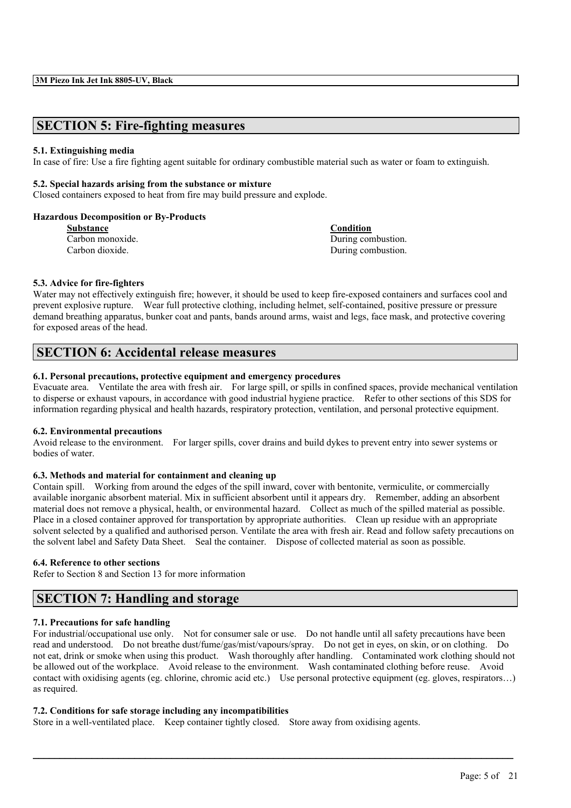### **SECTION 5: Fire-fighting measures**

#### **5.1. Extinguishing media**

In case of fire: Use a fire fighting agent suitable for ordinary combustible material such as water or foam to extinguish.

#### **5.2. Special hazards arising from the substance or mixture**

Closed containers exposed to heat from fire may build pressure and explode.

#### **Hazardous Decomposition or By-Products**

| <b>Substance</b> |  |  |  |
|------------------|--|--|--|
| Carbon monoxide. |  |  |  |
| Carbon dioxide.  |  |  |  |

**Substance Condition** During combustion. During combustion.

#### **5.3. Advice for fire-fighters**

Water may not effectively extinguish fire; however, it should be used to keep fire-exposed containers and surfaces cool and prevent explosive rupture. Wear full protective clothing, including helmet, self-contained, positive pressure or pressure demand breathing apparatus, bunker coat and pants, bands around arms, waist and legs, face mask, and protective covering for exposed areas of the head.

### **SECTION 6: Accidental release measures**

#### **6.1. Personal precautions, protective equipment and emergency procedures**

Evacuate area. Ventilate the area with fresh air. For large spill, or spills in confined spaces, provide mechanical ventilation to disperse or exhaust vapours, in accordance with good industrial hygiene practice. Refer to other sections of this SDS for information regarding physical and health hazards, respiratory protection, ventilation, and personal protective equipment.

#### **6.2. Environmental precautions**

Avoid release to the environment. For larger spills, cover drains and build dykes to prevent entry into sewer systems or bodies of water.

#### **6.3. Methods and material for containment and cleaning up**

Contain spill. Working from around the edges of the spill inward, cover with bentonite, vermiculite, or commercially available inorganic absorbent material. Mix in sufficient absorbent until it appears dry. Remember, adding an absorbent material does not remove a physical, health, or environmental hazard. Collect as much of the spilled material as possible. Place in a closed container approved for transportation by appropriate authorities. Clean up residue with an appropriate solvent selected by a qualified and authorised person. Ventilate the area with fresh air. Read and follow safety precautions on the solvent label and Safety Data Sheet. Seal the container. Dispose of collected material as soon as possible.

#### **6.4. Reference to other sections**

Refer to Section 8 and Section 13 for more information

### **SECTION 7: Handling and storage**

#### **7.1. Precautions for safe handling**

For industrial/occupational use only. Not for consumer sale or use. Do not handle until all safety precautions have been read and understood. Do not breathe dust/fume/gas/mist/vapours/spray. Do not get in eyes, on skin, or on clothing. Do not eat, drink or smoke when using this product. Wash thoroughly after handling. Contaminated work clothing should not be allowed out of the workplace. Avoid release to the environment. Wash contaminated clothing before reuse. Avoid contact with oxidising agents (eg. chlorine, chromic acid etc.) Use personal protective equipment (eg. gloves, respirators…) as required.

 $\mathcal{L}_\mathcal{L} = \mathcal{L}_\mathcal{L} = \mathcal{L}_\mathcal{L} = \mathcal{L}_\mathcal{L} = \mathcal{L}_\mathcal{L} = \mathcal{L}_\mathcal{L} = \mathcal{L}_\mathcal{L} = \mathcal{L}_\mathcal{L} = \mathcal{L}_\mathcal{L} = \mathcal{L}_\mathcal{L} = \mathcal{L}_\mathcal{L} = \mathcal{L}_\mathcal{L} = \mathcal{L}_\mathcal{L} = \mathcal{L}_\mathcal{L} = \mathcal{L}_\mathcal{L} = \mathcal{L}_\mathcal{L} = \mathcal{L}_\mathcal{L}$ 

#### **7.2. Conditions for safe storage including any incompatibilities**

Store in a well-ventilated place. Keep container tightly closed. Store away from oxidising agents.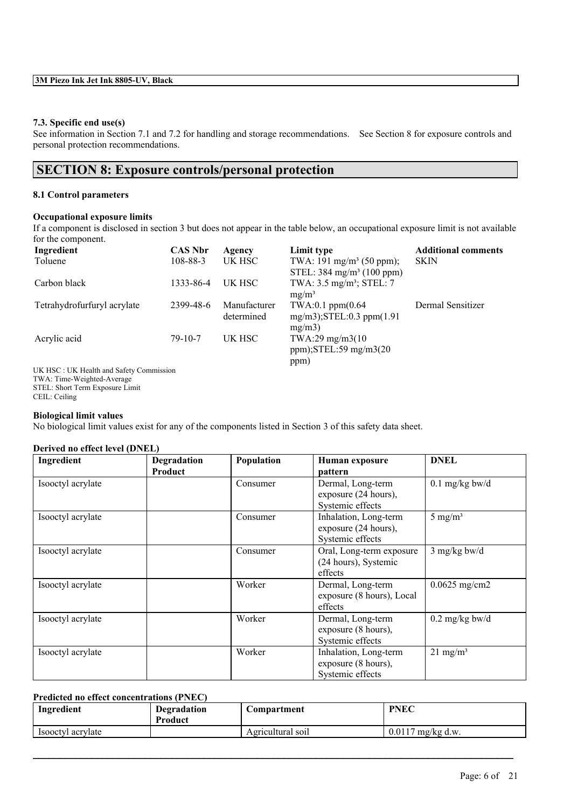#### **7.3. Specific end use(s)**

See information in Section 7.1 and 7.2 for handling and storage recommendations. See Section 8 for exposure controls and personal protection recommendations.

### **SECTION 8: Exposure controls/personal protection**

#### **8.1 Control parameters**

#### **Occupational exposure limits**

If a component is disclosed in section 3 but does not appear in the table below, an occupational exposure limit is not available for the component.

| Ingredient                                      | <b>CAS Nbr</b> | Agency                     | Limit type                                                                   | <b>Additional comments</b> |
|-------------------------------------------------|----------------|----------------------------|------------------------------------------------------------------------------|----------------------------|
| Toluene                                         | $108 - 88 - 3$ | UK HSC                     | TWA: 191 mg/m <sup>3</sup> (50 ppm);<br>STEL: $384 \text{ mg/m}^3$ (100 ppm) | <b>SKIN</b>                |
| Carbon black                                    | 1333-86-4      | UK HSC                     | TWA: 3.5 mg/m <sup>3</sup> ; STEL: 7<br>$mg/m^3$                             |                            |
| Tetrahydrofurfuryl acrylate                     | 2399-48-6      | Manufacturer<br>determined | $TWA:0.1$ ppm $(0.64)$<br>$mg/m3$ ; STEL: 0.3 ppm $(1.91)$<br>mg/m3          | Dermal Sensitizer          |
| Acrylic acid                                    | $79 - 10 - 7$  | UK HSC                     | TWA:29 mg/m3(10)<br>$ppm)$ ; STEL: 59 mg/m $3(20)$<br>ppm)                   |                            |
| <b>IIV HSC</b> IIV Hoalth and Safety Commission |                |                            |                                                                              |                            |

UK HSC : UK Health and Safety Commission TWA: Time-Weighted-Average STEL: Short Term Exposure Limit CEIL: Ceiling

#### **Biological limit values**

No biological limit values exist for any of the components listed in Section 3 of this safety data sheet.

#### **Derived no effect level (DNEL)**

| Ingredient        | <b>Degradation</b><br><b>Product</b> | Population | Human exposure<br>pattern                                         | <b>DNEL</b>         |
|-------------------|--------------------------------------|------------|-------------------------------------------------------------------|---------------------|
| Isooctyl acrylate |                                      | Consumer   | Dermal, Long-term<br>exposure (24 hours),<br>Systemic effects     | $0.1$ mg/kg bw/d    |
| Isooctyl acrylate |                                      | Consumer   | Inhalation, Long-term<br>exposure (24 hours),<br>Systemic effects | $5 \text{ mg/m}^3$  |
| Isooctyl acrylate |                                      | Consumer   | Oral, Long-term exposure<br>(24 hours), Systemic<br>effects       | $3$ mg/kg bw/d      |
| Isooctyl acrylate |                                      | Worker     | Dermal, Long-term<br>exposure (8 hours), Local<br>effects         | $0.0625$ mg/cm2     |
| Isooctyl acrylate |                                      | Worker     | Dermal, Long-term<br>exposure (8 hours),<br>Systemic effects      | $0.2$ mg/kg bw/d    |
| Isooctyl acrylate |                                      | Worker     | Inhalation, Long-term<br>exposure (8 hours),<br>Systemic effects  | $21 \text{ mg/m}^3$ |

#### **Predicted no effect concentrations (PNEC)**

| Ingredient        | <b>Degradation</b><br>Product | Compartment       | <b>PNEC</b>         |
|-------------------|-------------------------------|-------------------|---------------------|
| Isooctyl acrylate |                               | Agricultural soil | $0.0117$ mg/kg d.w. |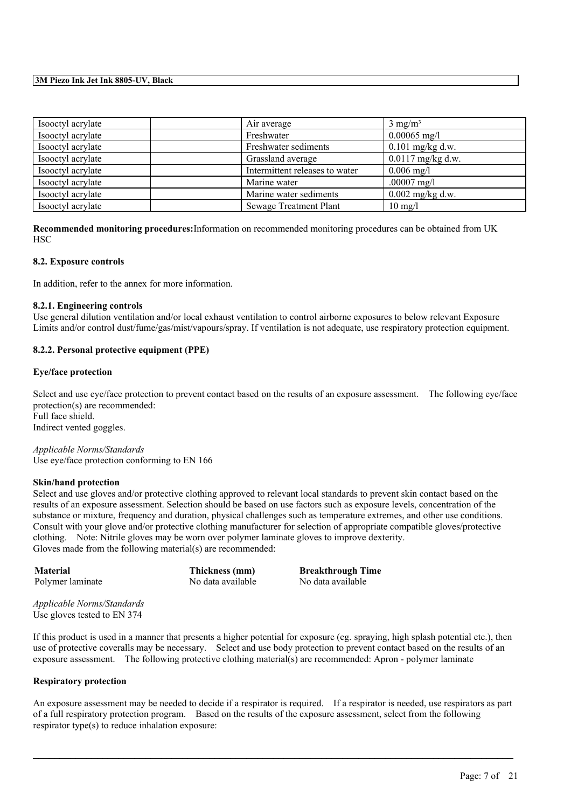| Isoloctyl acrylate | Air average                    | $3 \text{ mg/m}^3$  |
|--------------------|--------------------------------|---------------------|
| Isooctyl acrylate  | Freshwater                     | $0.00065$ mg/l      |
| Isooctyl acrylate  | Freshwater sediments           | $0.101$ mg/kg d.w.  |
| Isooctyl acrylate  | Grassland average              | $0.0117$ mg/kg d.w. |
| Isooctyl acrylate  | Intermittent releases to water | $0.006$ mg/l        |
| Isooctyl acrylate  | Marine water                   | .00007 $mg/l$       |
| Isooctyl acrylate  | Marine water sediments         | $0.002$ mg/kg d.w.  |
| Isooctyl acrylate  | <b>Sewage Treatment Plant</b>  | $10 \text{ mg}/l$   |

**Recommended monitoring procedures:**Information on recommended monitoring procedures can be obtained from UK **HSC** 

#### **8.2. Exposure controls**

In addition, refer to the annex for more information.

#### **8.2.1. Engineering controls**

Use general dilution ventilation and/or local exhaust ventilation to control airborne exposures to below relevant Exposure Limits and/or control dust/fume/gas/mist/vapours/spray. If ventilation is not adequate, use respiratory protection equipment.

#### **8.2.2. Personal protective equipment (PPE)**

#### **Eye/face protection**

Select and use eye/face protection to prevent contact based on the results of an exposure assessment. The following eye/face protection(s) are recommended: Full face shield. Indirect vented goggles.

*Applicable Norms/Standards* Use eye/face protection conforming to EN 166

#### **Skin/hand protection**

Select and use gloves and/or protective clothing approved to relevant local standards to prevent skin contact based on the results of an exposure assessment. Selection should be based on use factors such as exposure levels, concentration of the substance or mixture, frequency and duration, physical challenges such as temperature extremes, and other use conditions. Consult with your glove and/or protective clothing manufacturer for selection of appropriate compatible gloves/protective clothing. Note: Nitrile gloves may be worn over polymer laminate gloves to improve dexterity. Gloves made from the following material(s) are recommended:

**Material Thickness (mm) Breakthrough Time** Polymer laminate No data available No data available

*Applicable Norms/Standards* Use gloves tested to EN 374

If this product is used in a manner that presents a higher potential for exposure (eg. spraying, high splash potential etc.), then use of protective coveralls may be necessary. Select and use body protection to prevent contact based on the results of an exposure assessment. The following protective clothing material(s) are recommended: Apron - polymer laminate

#### **Respiratory protection**

An exposure assessment may be needed to decide if a respirator is required. If a respirator is needed, use respirators as part of a full respiratory protection program. Based on the results of the exposure assessment, select from the following respirator type(s) to reduce inhalation exposure: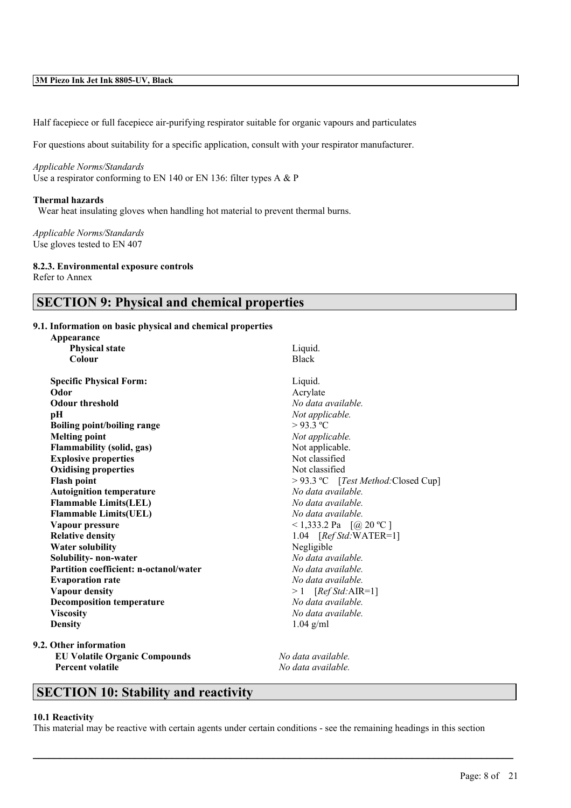Half facepiece or full facepiece air-purifying respirator suitable for organic vapours and particulates

For questions about suitability for a specific application, consult with your respirator manufacturer.

*Applicable Norms/Standards* Use a respirator conforming to EN 140 or EN 136: filter types A & P

#### **Thermal hazards**

Wear heat insulating gloves when handling hot material to prevent thermal burns.

*Applicable Norms/Standards* Use gloves tested to EN 407

#### **8.2.3. Environmental exposure controls**

Refer to Annex

### **SECTION 9: Physical and chemical properties**

#### **9.1. Information on basic physical and chemical properties**

| Appearance                             |                                     |
|----------------------------------------|-------------------------------------|
| <b>Physical state</b>                  | Liquid.                             |
| Colour                                 | <b>Black</b>                        |
| <b>Specific Physical Form:</b>         | Liquid.                             |
| Odor                                   | Acrylate                            |
| <b>Odour threshold</b>                 | No data available.                  |
| pН                                     | Not applicable.                     |
| <b>Boiling point/boiling range</b>     | $>93.3$ °C                          |
| <b>Melting point</b>                   | Not applicable.                     |
| <b>Flammability (solid, gas)</b>       | Not applicable.                     |
| <b>Explosive properties</b>            | Not classified                      |
| <b>Oxidising properties</b>            | Not classified                      |
| <b>Flash point</b>                     | > 93.3 °C [Test Method: Closed Cup] |
| <b>Autoignition temperature</b>        | No data available.                  |
| <b>Flammable Limits(LEL)</b>           | No data available.                  |
| <b>Flammable Limits(UEL)</b>           | No data available.                  |
| Vapour pressure                        | <1,333.2 Pa $[@ 20 °C]$             |
| <b>Relative density</b>                | 1.04 $[RefStd:WATER=1]$             |
| <b>Water solubility</b>                | Negligible                          |
| Solubility- non-water                  | No data available.                  |
| Partition coefficient: n-octanol/water | No data available.                  |
| <b>Evaporation rate</b>                | No data available.                  |
| Vapour density                         | $>1$ [Ref Std: AIR=1]               |
| <b>Decomposition temperature</b>       | No data available.                  |
| <b>Viscosity</b>                       | No data available.                  |
| <b>Density</b>                         | $1.04$ g/ml                         |
| $\Omega_{1}$ $\Omega_{2}$ $\Omega_{3}$ |                                     |

**9.2. Other information EU Volatile Organic Compounds** *No data available.* **Percent volatile** *No data available.*

### **SECTION 10: Stability and reactivity**

#### **10.1 Reactivity**

This material may be reactive with certain agents under certain conditions - see the remaining headings in this section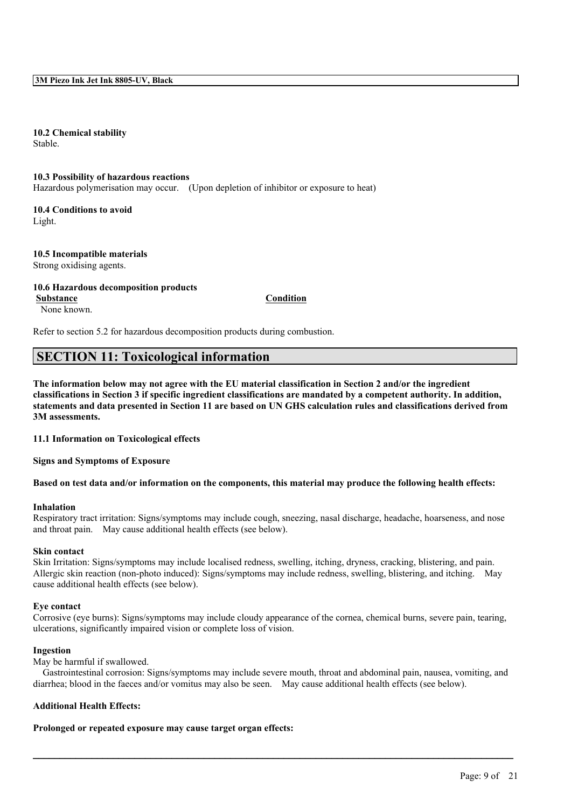**10.2 Chemical stability** Stable.

#### **10.3 Possibility of hazardous reactions**

Hazardous polymerisation may occur. (Upon depletion of inhibitor or exposure to heat)

**10.4 Conditions to avoid** Light.

#### **10.5 Incompatible materials** Strong oxidising agents.

### **10.6 Hazardous decomposition products**

**Substance Condition**

None known.

Refer to section 5.2 for hazardous decomposition products during combustion.

### **SECTION 11: Toxicological information**

The information below may not agree with the EU material classification in Section 2 and/or the ingredient classifications in Section 3 if specific ingredient classifications are mandated by a competent authority. In addition, statements and data presented in Section 11 are based on UN GHS calculation rules and classifications derived from **3M assessments.**

**11.1 Information on Toxicological effects**

**Signs and Symptoms of Exposure**

#### Based on test data and/or information on the components, this material may produce the following health effects:

#### **Inhalation**

Respiratory tract irritation: Signs/symptoms may include cough, sneezing, nasal discharge, headache, hoarseness, and nose and throat pain. May cause additional health effects (see below).

#### **Skin contact**

Skin Irritation: Signs/symptoms may include localised redness, swelling, itching, dryness, cracking, blistering, and pain. Allergic skin reaction (non-photo induced): Signs/symptoms may include redness, swelling, blistering, and itching. May cause additional health effects (see below).

#### **Eye contact**

Corrosive (eye burns): Signs/symptoms may include cloudy appearance of the cornea, chemical burns, severe pain, tearing, ulcerations, significantly impaired vision or complete loss of vision.

#### **Ingestion**

May be harmful if swallowed.

Gastrointestinal corrosion: Signs/symptoms may include severe mouth, throat and abdominal pain, nausea, vomiting, and diarrhea; blood in the faeces and/or vomitus may also be seen. May cause additional health effects (see below).

 $\mathcal{L}_\mathcal{L} = \mathcal{L}_\mathcal{L} = \mathcal{L}_\mathcal{L} = \mathcal{L}_\mathcal{L} = \mathcal{L}_\mathcal{L} = \mathcal{L}_\mathcal{L} = \mathcal{L}_\mathcal{L} = \mathcal{L}_\mathcal{L} = \mathcal{L}_\mathcal{L} = \mathcal{L}_\mathcal{L} = \mathcal{L}_\mathcal{L} = \mathcal{L}_\mathcal{L} = \mathcal{L}_\mathcal{L} = \mathcal{L}_\mathcal{L} = \mathcal{L}_\mathcal{L} = \mathcal{L}_\mathcal{L} = \mathcal{L}_\mathcal{L}$ 

#### **Additional Health Effects:**

**Prolonged or repeated exposure may cause target organ effects:**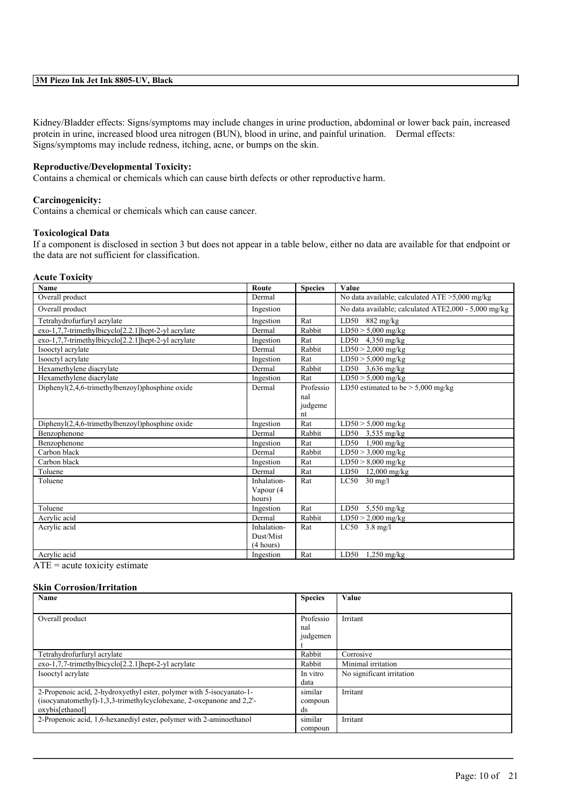Kidney/Bladder effects: Signs/symptoms may include changes in urine production, abdominal or lower back pain, increased protein in urine, increased blood urea nitrogen (BUN), blood in urine, and painful urination. Dermal effects: Signs/symptoms may include redness, itching, acne, or bumps on the skin.

#### **Reproductive/Developmental Toxicity:**

Contains a chemical or chemicals which can cause birth defects or other reproductive harm.

#### **Carcinogenicity:**

Contains a chemical or chemicals which can cause cancer.

#### **Toxicological Data**

If a component is disclosed in section 3 but does not appear in a table below, either no data are available for that endpoint or the data are not sufficient for classification.

#### **Acute Toxicity**

| <b>Name</b>                                            | Route       | <b>Species</b> | Value                                                |
|--------------------------------------------------------|-------------|----------------|------------------------------------------------------|
| Overall product                                        | Dermal      |                | No data available; calculated $ATE > 5,000$ mg/kg    |
| Overall product                                        | Ingestion   |                | No data available; calculated ATE2,000 - 5,000 mg/kg |
| Tetrahydrofurfuryl acrylate                            | Ingestion   | Rat            | LD50<br>$882$ mg/kg                                  |
| exo-1,7,7-trimethylbicyclo[2.2.1]hept-2-yl acrylate    | Dermal      | Rabbit         | $LD50 > 5,000$ mg/kg                                 |
| exo-1,7,7-trimethylbicyclo[2.2.1]hept-2-yl acrylate    | Ingestion   | Rat            | $4,350$ mg/kg<br>LD50                                |
| Isooctyl acrylate                                      | Dermal      | Rabbit         | $LD50 > 2,000$ mg/kg                                 |
| Isooctyl acrylate                                      | Ingestion   | Rat            | $LD50 > 5,000$ mg/kg                                 |
| Hexamethylene diacrylate                               | Dermal      | Rabbit         | LD50 3,636 mg/kg                                     |
| Hexamethylene diacrylate                               | Ingestion   | Rat            | $LD50 > 5,000$ mg/kg                                 |
| Diphenyl(2,4,6-trimethylbenzoyl)phosphine oxide        | Dermal      | Professio      | LD50 estimated to be $> 5,000$ mg/kg                 |
|                                                        |             | nal            |                                                      |
|                                                        |             | judgeme        |                                                      |
|                                                        |             | nt             |                                                      |
| $Dipheny I(2,4,6-trimethylbenzoyl)phosphine oxide$     | Ingestion   | Rat            | $LD50 > 5,000$ mg/kg                                 |
| Benzophenone                                           | Dermal      | Rabbit         | LD50<br>$3,535$ mg/kg                                |
| Benzophenone                                           | Ingestion   | Rat            | LD50<br>$1,900$ mg/kg                                |
| Carbon black                                           | Dermal      | Rabbit         | $LD50 > 3,000$ mg/kg                                 |
| Carbon black                                           | Ingestion   | Rat            | $LD50 > 8,000$ mg/kg                                 |
| Toluene                                                | Dermal      | Rat            | $12,000$ mg/kg<br>LD50                               |
| Toluene                                                | Inhalation- | Rat            | LC50<br>$30 \text{ mg}/l$                            |
|                                                        | Vapour (4   |                |                                                      |
|                                                        | hours)      |                |                                                      |
| Toluene                                                | Ingestion   | Rat            | LD50<br>$5,550$ mg/kg                                |
| Acrylic acid                                           | Dermal      | Rabbit         | $LD50 > 2,000$ mg/kg                                 |
| Acrylic acid                                           | Inhalation- | Rat            | $LC50$ 3.8 mg/l                                      |
|                                                        | Dust/Mist   |                |                                                      |
|                                                        | (4 hours)   |                |                                                      |
| Acrylic acid<br>$\bullet$ $\bullet$ .<br>$\sim$ $\sim$ | Ingestion   | Rat            | LD50<br>$1,250$ mg/kg                                |

 $ATE = acute$  toxicity estimate

### **Skin Corrosion/Irritation**

| Name                                                                 | <b>Species</b> | <b>Value</b>              |
|----------------------------------------------------------------------|----------------|---------------------------|
|                                                                      |                |                           |
| Overall product                                                      | Professio      | Irritant                  |
|                                                                      | nal            |                           |
|                                                                      | judgemen       |                           |
|                                                                      |                |                           |
| Tetrahydrofurfuryl acrylate                                          | Rabbit         | Corrosive                 |
| $exo-1,7,7-$ trimethylbicyclo $[2.2.1]$ hept-2-yl acrylate           | Rabbit         | Minimal irritation        |
| Isooctyl acrylate                                                    | In vitro       | No significant irritation |
|                                                                      | data           |                           |
| 2-Propenoic acid, 2-hydroxyethyl ester, polymer with 5-isocyanato-1- | similar        | Irritant                  |
| (isocyanatomethyl)-1,3,3-trimethylcyclohexane, 2-oxepanone and 2,2'- | compoun        |                           |
| oxybis[ethanol]                                                      | ds             |                           |
| 2-Propenoic acid, 1,6-hexanediyl ester, polymer with 2-aminoethanol  | similar        | Irritant                  |
|                                                                      | compoun        |                           |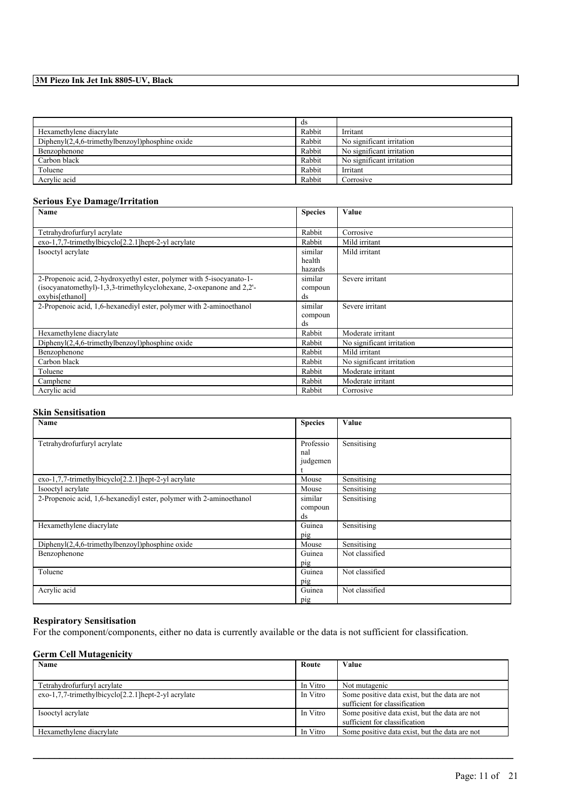|                                                   | ds     |                           |
|---------------------------------------------------|--------|---------------------------|
| Hexamethylene diacrylate                          | Rabbit | Irritant                  |
| $Diphenyl(2,4,6-trimethylbenzoyl)phosphine oxide$ | Rabbit | No significant irritation |
| Benzophenone                                      | Rabbit | No significant irritation |
| Carbon black                                      | Rabbit | No significant irritation |
| Toluene                                           | Rabbit | Irritant                  |
| Acrylic acid                                      | Rabbit | Corrosive                 |

### **Serious Eye Damage/Irritation**

| Name                                                                 | <b>Species</b> | Value                     |
|----------------------------------------------------------------------|----------------|---------------------------|
|                                                                      |                |                           |
| Tetrahydrofurfuryl acrylate                                          | Rabbit         | Corrosive                 |
| $exo-1,7,7-$ trimethylbicyclo $[2,2,1]$ hept-2-yl acrylate           | Rabbit         | Mild irritant             |
| Isooctyl acrylate                                                    | similar        | Mild irritant             |
|                                                                      | health         |                           |
|                                                                      | hazards        |                           |
| 2-Propenoic acid, 2-hydroxyethyl ester, polymer with 5-isocyanato-1- | similar        | Severe irritant           |
| (isocyanatomethyl)-1,3,3-trimethylcyclohexane, 2-oxepanone and 2,2'- | compoun        |                           |
| oxybis[ethanol]                                                      | ds             |                           |
| 2-Propenoic acid, 1,6-hexanedivl ester, polymer with 2-aminoethanol  | similar        | Severe irritant           |
|                                                                      | compoun        |                           |
|                                                                      | ds             |                           |
| Hexamethylene diacrylate                                             | Rabbit         | Moderate irritant         |
| $Diphenyl(2,4,6-trimethylbenzoyl)phosphine oxide$                    | Rabbit         | No significant irritation |
| Benzophenone                                                         | Rabbit         | Mild irritant             |
| Carbon black                                                         | Rabbit         | No significant irritation |
| Toluene                                                              | Rabbit         | Moderate irritant         |
| Camphene                                                             | Rabbit         | Moderate irritant         |
| Acrylic acid                                                         | Rabbit         | Corrosive                 |

#### **Skin Sensitisation**

| Name                                                                | <b>Species</b> | Value          |
|---------------------------------------------------------------------|----------------|----------------|
|                                                                     |                |                |
| Tetrahydrofurfuryl acrylate                                         | Professio      | Sensitising    |
|                                                                     | nal            |                |
|                                                                     | judgemen       |                |
|                                                                     |                |                |
| exo-1,7,7-trimethylbicyclo[2.2.1] hept-2-yl acrylate                | Mouse          | Sensitising    |
| Isooctyl acrylate                                                   | Mouse          | Sensitising    |
| 2-Propenoic acid, 1,6-hexanediyl ester, polymer with 2-aminoethanol | similar        | Sensitising    |
|                                                                     | compoun        |                |
|                                                                     | ds             |                |
| Hexamethylene diacrylate                                            | Guinea         | Sensitising    |
|                                                                     | pig            |                |
| $Diphenyl(2,4,6-trimethylbenzoyl)phosphine oxide$                   | Mouse          | Sensitising    |
| Benzophenone                                                        | Guinea         | Not classified |
|                                                                     | pig            |                |
| Toluene                                                             | Guinea         | Not classified |
|                                                                     | pig            |                |
| Acrylic acid                                                        | Guinea         | Not classified |
|                                                                     | pig            |                |

#### **Respiratory Sensitisation**

For the component/components, either no data is currently available or the data is not sufficient for classification.

#### **Germ Cell Mutagenicity**

| Name                                                                | Route    | Value                                                                           |
|---------------------------------------------------------------------|----------|---------------------------------------------------------------------------------|
|                                                                     |          |                                                                                 |
| Tetrahydrofurfuryl acrylate                                         | In Vitro | Not mutagenic                                                                   |
| $exo-1,7,7-$ trimethylbicyclo <sup>[2.2.1]</sup> hept-2-yl acrylate | In Vitro | Some positive data exist, but the data are not<br>sufficient for classification |
| Isooctyl acrylate                                                   | In Vitro | Some positive data exist, but the data are not<br>sufficient for classification |
| Hexamethylene diacrylate                                            | In Vitro | Some positive data exist, but the data are not                                  |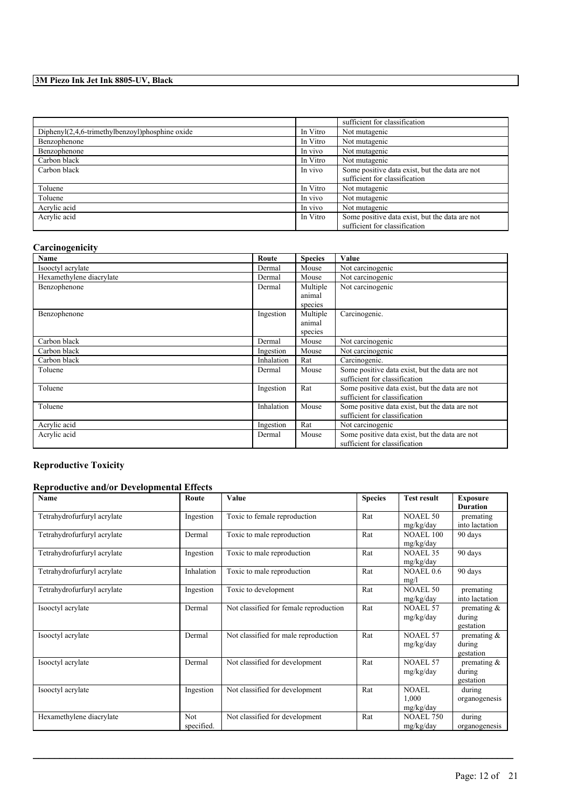|                                                    |          | sufficient for classification                  |
|----------------------------------------------------|----------|------------------------------------------------|
| $Dipheny I(2,4,6-trimethylbenzoyl)phosphine oxide$ | In Vitro | Not mutagenic                                  |
| Benzophenone                                       | In Vitro | Not mutagenic                                  |
| Benzophenone                                       | In vivo  | Not mutagenic                                  |
| Carbon black                                       | In Vitro | Not mutagenic                                  |
| Carbon black                                       | In vivo  | Some positive data exist, but the data are not |
|                                                    |          | sufficient for classification                  |
| Toluene                                            | In Vitro | Not mutagenic                                  |
| Toluene                                            | In vivo  | Not mutagenic                                  |
| Acrylic acid                                       | In vivo  | Not mutagenic                                  |
| Acrylic acid                                       | In Vitro | Some positive data exist, but the data are not |
|                                                    |          | sufficient for classification                  |

#### **Carcinogenicity**

| -<br><b>Name</b>         | Route      | <b>Species</b>                | Value                                                                           |
|--------------------------|------------|-------------------------------|---------------------------------------------------------------------------------|
| Isooctyl acrylate        | Dermal     | Mouse                         | Not carcinogenic                                                                |
| Hexamethylene diacrylate | Dermal     | Mouse                         | Not carcinogenic                                                                |
| Benzophenone             | Dermal     | Multiple<br>animal<br>species | Not carcinogenic                                                                |
| Benzophenone             | Ingestion  | Multiple<br>animal<br>species | Carcinogenic.                                                                   |
| Carbon black             | Dermal     | Mouse                         | Not carcinogenic                                                                |
| Carbon black             | Ingestion  | Mouse                         | Not carcinogenic                                                                |
| Carbon black             | Inhalation | Rat                           | Carcinogenic.                                                                   |
| Toluene                  | Dermal     | Mouse                         | Some positive data exist, but the data are not<br>sufficient for classification |
| Toluene                  | Ingestion  | Rat                           | Some positive data exist, but the data are not<br>sufficient for classification |
| Toluene                  | Inhalation | Mouse                         | Some positive data exist, but the data are not<br>sufficient for classification |
| Acrylic acid             | Ingestion  | Rat                           | Not carcinogenic                                                                |
| Acrylic acid             | Dermal     | Mouse                         | Some positive data exist, but the data are not<br>sufficient for classification |

### **Reproductive Toxicity**

#### **Reproductive and/or Developmental Effects**

| Name                        | Route             | Value                                  | <b>Species</b> | <b>Test result</b>                 | <b>Exposure</b><br><b>Duration</b>    |
|-----------------------------|-------------------|----------------------------------------|----------------|------------------------------------|---------------------------------------|
| Tetrahydrofurfuryl acrylate | Ingestion         | Toxic to female reproduction           | Rat            | <b>NOAEL 50</b><br>mg/kg/day       | premating<br>into lactation           |
| Tetrahydrofurfuryl acrylate | Dermal            | Toxic to male reproduction             | Rat            | <b>NOAEL 100</b><br>mg/kg/day      | 90 days                               |
| Tetrahydrofurfuryl acrylate | Ingestion         | Toxic to male reproduction             | Rat            | <b>NOAEL 35</b><br>mg/kg/day       | 90 days                               |
| Tetrahydrofurfuryl acrylate | Inhalation        | Toxic to male reproduction             | Rat            | NOAEL 0.6<br>mg/l                  | 90 days                               |
| Tetrahydrofurfuryl acrylate | Ingestion         | Toxic to development                   | Rat            | <b>NOAEL 50</b><br>mg/kg/day       | premating<br>into lactation           |
| Isooctyl acrylate           | Dermal            | Not classified for female reproduction | Rat            | <b>NOAEL 57</b><br>mg/kg/day       | premating $\&$<br>during<br>gestation |
| Isooctyl acrylate           | Dermal            | Not classified for male reproduction   | Rat            | <b>NOAEL 57</b><br>mg/kg/day       | premating &<br>during<br>gestation    |
| Isooctyl acrylate           | Dermal            | Not classified for development         | Rat            | <b>NOAEL 57</b><br>mg/kg/day       | premating $\&$<br>during<br>gestation |
| Isooctyl acrylate           | Ingestion         | Not classified for development         | Rat            | <b>NOAEL</b><br>1,000<br>mg/kg/day | during<br>organogenesis               |
| Hexamethylene diacrylate    | Not<br>specified. | Not classified for development         | Rat            | <b>NOAEL 750</b><br>mg/kg/day      | during<br>organogenesis               |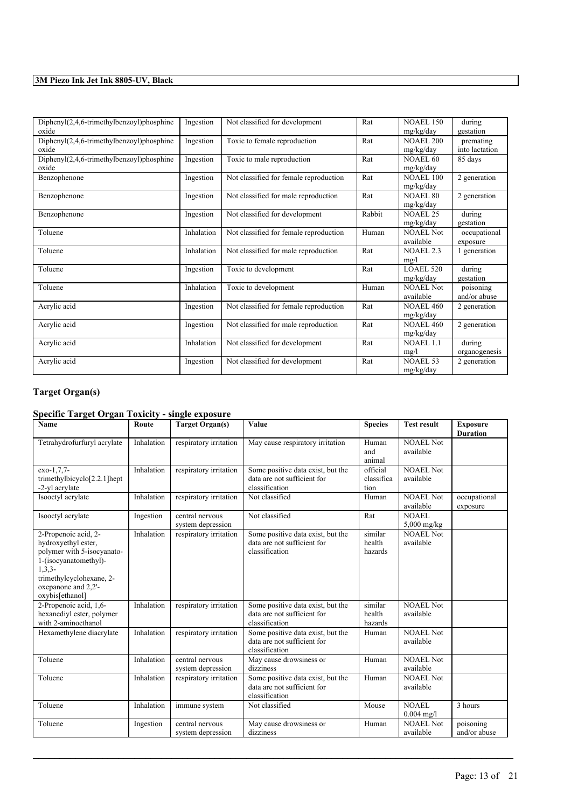| $Dipheny I(2,4,6-trimethylbenzoyl)phosphine$<br>oxide | Ingestion  | Not classified for development         | Rat    | <b>NOAEL 150</b><br>mg/kg/day | during<br>gestation         |
|-------------------------------------------------------|------------|----------------------------------------|--------|-------------------------------|-----------------------------|
| $Dipheny I(2,4,6-trimethylbenzoyl)phosphine$<br>oxide | Ingestion  | Toxic to female reproduction           | Rat    | <b>NOAEL 200</b><br>mg/kg/day | premating<br>into lactation |
| Diphenyl(2,4,6-trimethylbenzoyl)phosphine<br>oxide    | Ingestion  | Toxic to male reproduction             | Rat    | <b>NOAEL 60</b><br>mg/kg/day  | 85 days                     |
| Benzophenone                                          | Ingestion  | Not classified for female reproduction | Rat    | <b>NOAEL 100</b><br>mg/kg/day | 2 generation                |
| Benzophenone                                          | Ingestion  | Not classified for male reproduction   | Rat    | <b>NOAEL 80</b><br>mg/kg/day  | 2 generation                |
| Benzophenone                                          | Ingestion  | Not classified for development         | Rabbit | <b>NOAEL 25</b><br>mg/kg/day  | during<br>gestation         |
| Toluene                                               | Inhalation | Not classified for female reproduction | Human  | <b>NOAEL Not</b><br>available | occupational<br>exposure    |
| Toluene                                               | Inhalation | Not classified for male reproduction   | Rat    | <b>NOAEL 2.3</b><br>mg/l      | 1 generation                |
| Toluene                                               | Ingestion  | Toxic to development                   | Rat    | <b>LOAEL 520</b><br>mg/kg/day | during<br>gestation         |
| Toluene                                               | Inhalation | Toxic to development                   | Human  | <b>NOAEL Not</b><br>available | poisoning<br>and/or abuse   |
| Acrylic acid                                          | Ingestion  | Not classified for female reproduction | Rat    | <b>NOAEL 460</b><br>mg/kg/day | 2 generation                |
| Acrylic acid                                          | Ingestion  | Not classified for male reproduction   | Rat    | <b>NOAEL 460</b><br>mg/kg/day | 2 generation                |
| Acrylic acid                                          | Inhalation | Not classified for development         | Rat    | <b>NOAEL 1.1</b><br>mg/l      | during<br>organogenesis     |
| Acrylic acid                                          | Ingestion  | Not classified for development         | Rat    | <b>NOAEL 53</b><br>mg/kg/day  | 2 generation                |

### **Target Organ(s)**

### **Specific Target Organ Toxicity - single exposure**

| <b>Name</b>                                                                                                                                                                            | Route      | <b>Target Organ(s)</b>               | Value                                                                              | <b>Species</b>                 | <b>Test result</b>            | <b>Exposure</b><br><b>Duration</b> |
|----------------------------------------------------------------------------------------------------------------------------------------------------------------------------------------|------------|--------------------------------------|------------------------------------------------------------------------------------|--------------------------------|-------------------------------|------------------------------------|
| Tetrahydrofurfuryl acrylate                                                                                                                                                            | Inhalation | respiratory irritation               | May cause respiratory irritation                                                   | Human<br>and<br>animal         | <b>NOAEL Not</b><br>available |                                    |
| exo-1,7,7-<br>trimethylbicyclo $[2.2.1]$ hept<br>-2-yl acrylate                                                                                                                        | Inhalation | respiratory irritation               | Some positive data exist, but the<br>data are not sufficient for<br>classification | official<br>classifica<br>tion | <b>NOAEL Not</b><br>available |                                    |
| Isooctyl acrylate                                                                                                                                                                      | Inhalation | respiratory irritation               | Not classified                                                                     | Human                          | <b>NOAEL Not</b><br>available | occupational<br>exposure           |
| Isooctyl acrylate                                                                                                                                                                      | Ingestion  | central nervous<br>system depression | Not classified                                                                     | Rat                            | NOAEL<br>$5,000$ mg/kg        |                                    |
| 2-Propenoic acid, 2-<br>hydroxyethyl ester,<br>polymer with 5-isocyanato-<br>1-(isocyanatomethyl)-<br>$1, 3, 3-$<br>trimethylcyclohexane, 2-<br>oxepanone and 2,2'-<br>oxybis[ethanol] | Inhalation | respiratory irritation               | Some positive data exist, but the<br>data are not sufficient for<br>classification | similar<br>health<br>hazards   | <b>NOAEL Not</b><br>available |                                    |
| 2-Propenoic acid, 1,6-<br>hexanediyl ester, polymer<br>with 2-aminoethanol                                                                                                             | Inhalation | respiratory irritation               | Some positive data exist, but the<br>data are not sufficient for<br>classification | similar<br>health<br>hazards   | NOAEL Not<br>available        |                                    |
| Hexamethylene diacrylate                                                                                                                                                               | Inhalation | respiratory irritation               | Some positive data exist, but the<br>data are not sufficient for<br>classification | Human                          | <b>NOAEL Not</b><br>available |                                    |
| Toluene                                                                                                                                                                                | Inhalation | central nervous<br>system depression | May cause drowsiness or<br>dizziness                                               | Human                          | <b>NOAEL Not</b><br>available |                                    |
| Toluene                                                                                                                                                                                | Inhalation | respiratory irritation               | Some positive data exist, but the<br>data are not sufficient for<br>classification | Human                          | <b>NOAEL Not</b><br>available |                                    |
| Toluene                                                                                                                                                                                | Inhalation | immune system                        | Not classified                                                                     | Mouse                          | NOAEL<br>$0.004$ mg/l         | 3 hours                            |
| Toluene                                                                                                                                                                                | Ingestion  | central nervous<br>system depression | May cause drowsiness or<br>dizziness                                               | Human                          | NOAEL Not<br>available        | poisoning<br>and/or abuse          |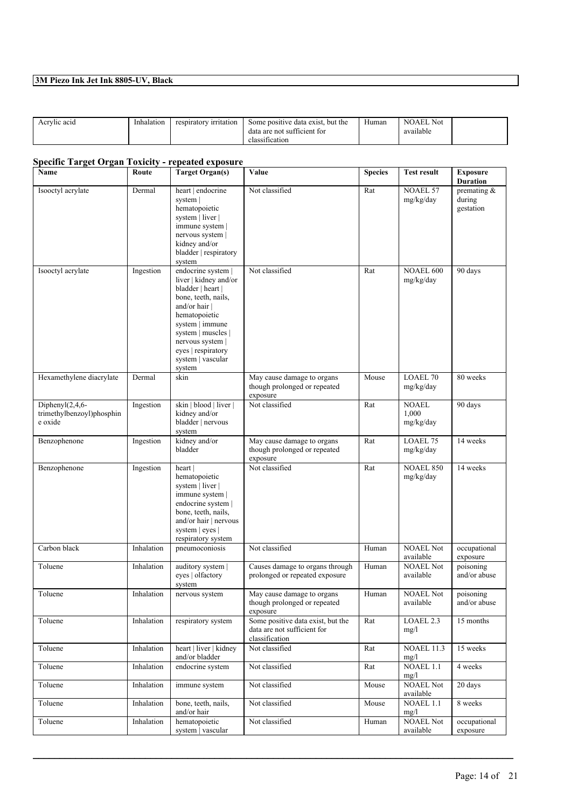| Acrylic acid | Inhalation | <sup>,</sup> irritation<br>respiratory | but the<br>Some positive data exist.<br>$\alpha$ | Human | <b>NOAEL</b><br>Not<br>11.11 |  |
|--------------|------------|----------------------------------------|--------------------------------------------------|-------|------------------------------|--|
|              |            |                                        | data are not sufficient for                      |       | available                    |  |
|              |            |                                        | classification                                   |       |                              |  |

### **Specific Target Organ Toxicity - repeated exposure**

| Name                                                          | Route      | <b>Target Organ(s)</b>                                                                                                                                                                                                                        | Value                                                                              | <b>Species</b> | <b>Test result</b>            | <b>Exposure</b><br><b>Duration</b>    |
|---------------------------------------------------------------|------------|-----------------------------------------------------------------------------------------------------------------------------------------------------------------------------------------------------------------------------------------------|------------------------------------------------------------------------------------|----------------|-------------------------------|---------------------------------------|
| Isooctyl acrylate                                             | Dermal     | heart   endocrine<br>system  <br>hematopoietic<br>system   liver  <br>immune system  <br>nervous system  <br>kidney and/or<br>bladder   respiratory<br>system                                                                                 | Not classified                                                                     | Rat            | NOAEL 57<br>mg/kg/day         | premating $\&$<br>during<br>gestation |
| Isooctyl acrylate                                             | Ingestion  | endocrine system  <br>liver   kidney and/or<br>bladder   heart  <br>bone, teeth, nails,<br>and/or hair $ $<br>hematopoietic<br>system   immune<br>system   muscles  <br>nervous system  <br>eyes   respiratory<br>system   vascular<br>system | Not classified                                                                     | Rat            | <b>NOAEL 600</b><br>mg/kg/day | 90 days                               |
| Hexamethylene diacrylate                                      | Dermal     | skin                                                                                                                                                                                                                                          | May cause damage to organs<br>though prolonged or repeated<br>exposure             | Mouse          | <b>LOAEL 70</b><br>mg/kg/day  | 80 weeks                              |
| Diphenyl $(2, 4, 6$ -<br>trimethylbenzoyl)phosphin<br>e oxide | Ingestion  | skin   blood   liver  <br>kidney and/or<br>bladder   nervous<br>system                                                                                                                                                                        | Not classified                                                                     | Rat            | NOAEL<br>1,000<br>mg/kg/day   | 90 days                               |
| Benzophenone                                                  | Ingestion  | kidney and/or<br>bladder                                                                                                                                                                                                                      | May cause damage to organs<br>though prolonged or repeated<br>exposure             | Rat            | <b>LOAEL 75</b><br>mg/kg/day  | 14 weeks                              |
| Benzophenone                                                  | Ingestion  | heart  <br>hematopoietic<br>system   liver  <br>immune system  <br>endocrine system  <br>bone, teeth, nails,<br>and/or hair   nervous<br>system   eyes  <br>respiratory system                                                                | Not classified                                                                     | Rat            | <b>NOAEL 850</b><br>mg/kg/day | 14 weeks                              |
| Carbon black                                                  | Inhalation | pneumoconiosis                                                                                                                                                                                                                                | Not classified                                                                     | Human          | <b>NOAEL Not</b><br>available | occupational<br>exposure              |
| Toluene                                                       | Inhalation | auditory system  <br>eyes   olfactory<br>system                                                                                                                                                                                               | Causes damage to organs through<br>prolonged or repeated exposure                  | Human          | <b>NOAEL Not</b><br>available | poisoning<br>and/or abuse             |
| Toluene                                                       | Inhalation | nervous system                                                                                                                                                                                                                                | May cause damage to organs<br>though prolonged or repeated<br>exposure             | Human          | <b>NOAEL Not</b><br>available | poisoning<br>and/or abuse             |
| Toluene                                                       | Inhalation | respiratory system                                                                                                                                                                                                                            | Some positive data exist, but the<br>data are not sufficient for<br>classification | Rat            | LOAEL <sub>2.3</sub><br>mg/l  | 15 months                             |
| Toluene                                                       | Inhalation | heart   liver   kidney<br>and/or bladder                                                                                                                                                                                                      | Not classified                                                                     | Rat            | <b>NOAEL 11.3</b><br>mg/l     | 15 weeks                              |
| Toluene                                                       | Inhalation | endocrine system                                                                                                                                                                                                                              | Not classified                                                                     | Rat            | <b>NOAEL 1.1</b><br>mg/l      | 4 weeks                               |
| Toluene                                                       | Inhalation | immune system                                                                                                                                                                                                                                 | Not classified                                                                     | Mouse          | <b>NOAEL Not</b><br>available | 20 days                               |
| Toluene                                                       | Inhalation | bone, teeth, nails,<br>and/or hair                                                                                                                                                                                                            | Not classified                                                                     | Mouse          | NOAEL 1.1<br>mg/l             | 8 weeks                               |
| Toluene                                                       | Inhalation | hematopoietic<br>system   vascular                                                                                                                                                                                                            | Not classified                                                                     | Human          | <b>NOAEL Not</b><br>available | occupational<br>exposure              |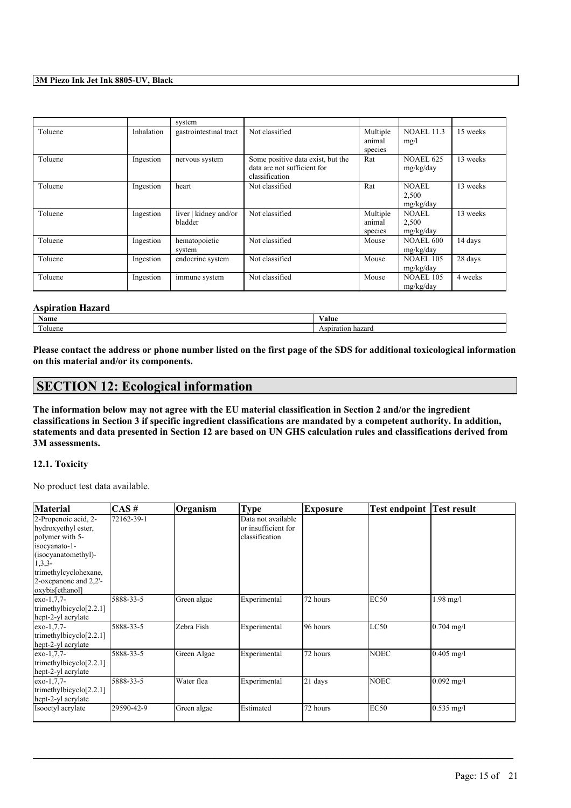|         |            | system                           |                                                                                    |                               |                                    |          |
|---------|------------|----------------------------------|------------------------------------------------------------------------------------|-------------------------------|------------------------------------|----------|
| Toluene | Inhalation | gastrointestinal tract           | Not classified                                                                     | Multiple<br>animal<br>species | <b>NOAEL 11.3</b><br>mg/l          | 15 weeks |
| Toluene | Ingestion  | nervous system                   | Some positive data exist, but the<br>data are not sufficient for<br>classification | Rat                           | <b>NOAEL 625</b><br>mg/kg/day      | 13 weeks |
| Toluene | Ingestion  | heart                            | Not classified                                                                     | Rat                           | NOAEL<br>2,500<br>mg/kg/day        | 13 weeks |
| Toluene | Ingestion  | liver   kidney and/or<br>bladder | Not classified                                                                     | Multiple<br>animal<br>species | <b>NOAEL</b><br>2,500<br>mg/kg/day | 13 weeks |
| Toluene | Ingestion  | hematopoietic<br>system          | Not classified                                                                     | Mouse                         | <b>NOAEL 600</b><br>mg/kg/day      | 14 days  |
| Toluene | Ingestion  | endocrine system                 | Not classified                                                                     | Mouse                         | <b>NOAEL 105</b><br>mg/kg/day      | 28 days  |
| Toluene | Ingestion  | immune system                    | Not classified                                                                     | Mouse                         | <b>NOAEL 105</b><br>mg/kg/day      | 4 weeks  |

#### **Aspiration Hazard**

| $\mathbf{v}$     | $ -$       |
|------------------|------------|
| Name             | Value      |
| <b>CONTINUES</b> | Aspiration |
| oluene           | hazarc     |

Please contact the address or phone number listed on the first page of the SDS for additional toxicological information **on this material and/or its components.**

### **SECTION 12: Ecological information**

The information below may not agree with the EU material classification in Section 2 and/or the ingredient classifications in Section 3 if specific ingredient classifications are mandated by a competent authority. In addition, statements and data presented in Section 12 are based on UN GHS calculation rules and classifications derived from **3M assessments.**

#### **12.1. Toxicity**

No product test data available.

| <b>Material</b>                                                                                                                                                      | $\overline{CAS}$ # | <b>Organism</b> | <b>Type</b>                                                 | Exposure  | Test endpoint | <b>Test result</b> |
|----------------------------------------------------------------------------------------------------------------------------------------------------------------------|--------------------|-----------------|-------------------------------------------------------------|-----------|---------------|--------------------|
| 2-Propenoic acid, 2-<br>hydroxyethyl ester,<br>polymer with 5-<br>isocyanato-1-<br>(isocyanatomethyl)-<br>$1,3,3-$<br>trimethylcyclohexane,<br>2-oxepanone and 2.2'- | 72162-39-1         |                 | Data not available<br>or insufficient for<br>classification |           |               |                    |
| oxybis[ethanol]                                                                                                                                                      | 5888-33-5          |                 |                                                             |           |               |                    |
| $exo-1.7.7-$<br>trimethylbicyclo[2.2.1]<br>hept-2-yl acrylate                                                                                                        |                    | Green algae     | Experimental                                                | 72 hours  | <b>EC50</b>   | $1.98$ mg/l        |
| $exo-1,7,7-$<br>trimethylbicyclo $[2.2.1]$<br>hept-2-yl acrylate                                                                                                     | 5888-33-5          | Zebra Fish      | Experimental                                                | 196 hours | LC50          | $0.704$ mg/l       |
| $exo-1,7,7-$<br>trimethylbicyclo $[2.2.1]$<br>hept-2-yl acrylate                                                                                                     | 5888-33-5          | Green Algae     | Experimental                                                | 72 hours  | <b>NOEC</b>   | $0.405$ mg/l       |
| $exo-1,7,7-$<br>trimethylbicyclo $[2.2.1]$<br>hept-2-yl acrylate                                                                                                     | 5888-33-5          | Water flea      | Experimental                                                | 21 days   | <b>NOEC</b>   | $0.092$ mg/l       |
| Isooctyl acrylate                                                                                                                                                    | 29590-42-9         | Green algae     | Estimated                                                   | 72 hours  | <b>EC50</b>   | $0.535$ mg/l       |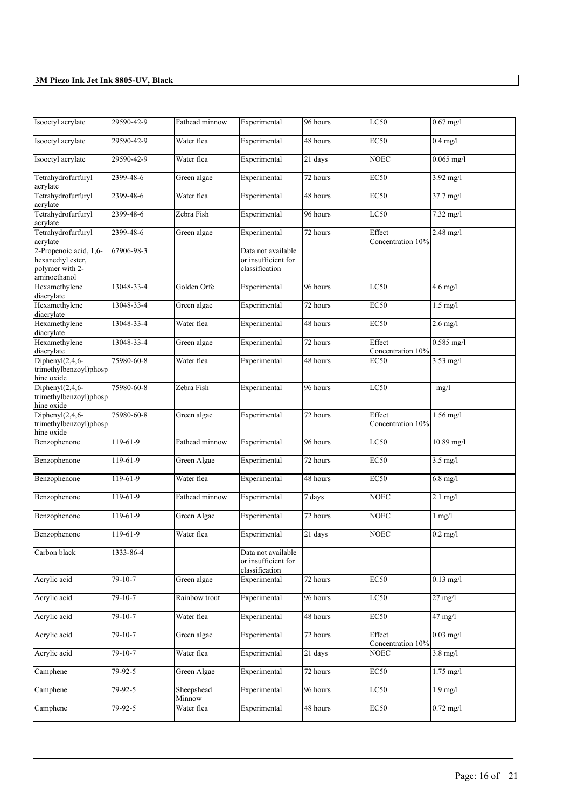| Isooctyl acrylate                                                              | 29590-42-9    | Fathead minnow       | Experimental                                                | 96 hours | LC50                        | $0.67$ mg/l                    |
|--------------------------------------------------------------------------------|---------------|----------------------|-------------------------------------------------------------|----------|-----------------------------|--------------------------------|
| Isooctyl acrylate                                                              | 29590-42-9    | Water flea           | Experimental                                                | 48 hours | <b>EC50</b>                 | $0.4$ mg/l                     |
| Isooctyl acrylate                                                              | 29590-42-9    | Water flea           | Experimental                                                | 21 days  | <b>NOEC</b>                 | $0.065$ mg/l                   |
| Tetrahydrofurfuryl<br>acrylate                                                 | 2399-48-6     | Green algae          | Experimental                                                | 72 hours | <b>EC50</b>                 | $3.92$ mg/l                    |
| Tetrahydrofurfuryl<br>acrylate                                                 | 2399-48-6     | Water flea           | Experimental                                                | 48 hours | <b>EC50</b>                 | 37.7 mg/l                      |
| Tetrahydrofurfuryl<br>acrylate                                                 | 2399-48-6     | Zebra Fish           | Experimental                                                | 96 hours | LC50                        | 7.32 mg/l                      |
| Tetrahydrofurfuryl<br>acrylate                                                 | 2399-48-6     | Green algae          | Experimental                                                | 72 hours | Effect<br>Concentration 10% | $2.48$ mg/l                    |
| 2-Propenoic acid, 1,6-<br>hexanediyl ester,<br>polymer with 2-<br>aminoethanol | 67906-98-3    |                      | Data not available<br>or insufficient for<br>classification |          |                             |                                |
| Hexamethylene<br>diacrylate                                                    | 13048-33-4    | Golden Orfe          | Experimental                                                | 96 hours | LC50                        | $4.6$ mg/l                     |
| Hexamethylene<br>diacrylate                                                    | 13048-33-4    | Green algae          | Experimental                                                | 72 hours | <b>EC50</b>                 | $1.5$ mg/l                     |
| Hexamethylene<br>diacrylate                                                    | 13048-33-4    | Water flea           | Experimental                                                | 48 hours | <b>EC50</b>                 | $2.6 \overline{\mathrm{mg/l}}$ |
| Hexamethylene<br>diacrylate                                                    | 13048-33-4    | Green algae          | Experimental                                                | 72 hours | Effect<br>Concentration 10% | $0.585$ mg/l                   |
| Diphenyl $(2, 4, 6$ -<br>trimethylbenzoyl)phosp<br>hine oxide                  | 75980-60-8    | Water flea           | Experimental                                                | 48 hours | <b>EC50</b>                 | $3.53$ mg/l                    |
| Diphenyl $(2, 4, 6$ -<br>trimethylbenzoyl)phosp<br>hine oxide                  | 75980-60-8    | Zebra Fish           | Experimental                                                | 96 hours | LC50                        | mg/l                           |
| Diphenyl $(2, 4, 6$ -<br>trimethylbenzoyl)phosp<br>hine oxide                  | 75980-60-8    | Green algae          | Experimental                                                | 72 hours | Effect<br>Concentration 10% | $1.56$ mg/l                    |
| Benzophenone                                                                   | 119-61-9      | Fathead minnow       | Experimental                                                | 96 hours | LC50                        | 10.89 mg/l                     |
| Benzophenone                                                                   | $119-61-9$    | Green Algae          | Experimental                                                | 72 hours | <b>EC50</b>                 | $3.5$ mg/l                     |
| Benzophenone                                                                   | 119-61-9      | Water flea           | Experimental                                                | 48 hours | <b>EC50</b>                 | $6.8$ mg/l                     |
| Benzophenone                                                                   | 119-61-9      | Fathead minnow       | Experimental                                                | 7 days   | <b>NOEC</b>                 | $2.1$ mg/l                     |
| Benzophenone                                                                   | 119-61-9      | Green Algae          | Experimental                                                | 72 hours | <b>NOEC</b>                 | $1$ mg/ $1$                    |
| Benzophenone                                                                   | 119-61-9      | Water flea           | Experimental                                                | 21 days  | <b>NOEC</b>                 | $0.2$ mg/l                     |
| Carbon black                                                                   | 1333-86-4     |                      | Data not available<br>or insufficient for<br>classification |          |                             |                                |
| Acrylic acid                                                                   | $79 - 10 - 7$ | Green algae          | Experimental                                                | 72 hours | EC <sub>50</sub>            | $0.13$ mg/l                    |
| Acrylic acid                                                                   | $79-10-7$     | Rainbow trout        | Experimental                                                | 96 hours | LC50                        | $27$ mg/l                      |
| Acrylic acid                                                                   | $79 - 10 - 7$ | Water flea           | Experimental                                                | 48 hours | <b>EC50</b>                 | $47$ mg/l                      |
| Acrylic acid                                                                   | $79-10-7$     | Green algae          | Experimental                                                | 72 hours | Effect<br>Concentration 10% | $0.03 \text{ mg/l}$            |
| Acrylic acid                                                                   | 79-10-7       | Water flea           | Experimental                                                | 21 days  | NOEC                        | $3.8$ mg/l                     |
| Camphene                                                                       | $79 - 92 - 5$ | Green Algae          | Experimental                                                | 72 hours | EC <sub>50</sub>            | $1.75$ mg/l                    |
| Camphene                                                                       | 79-92-5       | Sheepshead<br>Minnow | Experimental                                                | 96 hours | LC50                        | $1.9$ mg/l                     |
| Camphene                                                                       | 79-92-5       | Water flea           | Experimental                                                | 48 hours | EC <sub>50</sub>            | $0.72 \text{ mg}/1$            |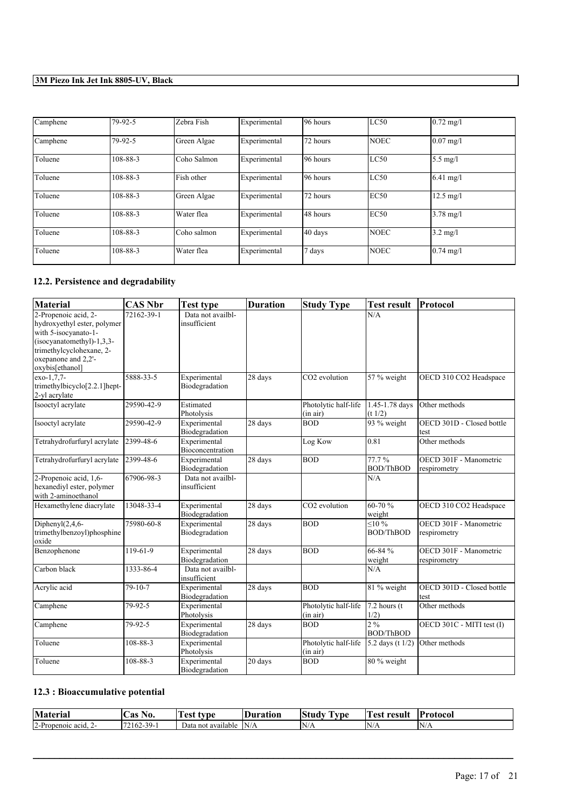| Camphene | 79-92-5  | Zebra Fish  | Experimental | 96 hours  | LC50        | $0.72 \text{ mg}$ /1 |
|----------|----------|-------------|--------------|-----------|-------------|----------------------|
| Camphene | 79-92-5  | Green Algae | Experimental | 72 hours  | <b>NOEC</b> | $0.07$ mg/l          |
| Toluene  | 108-88-3 | Coho Salmon | Experimental | 96 hours  | LC50        | $5.5$ mg/l           |
| Toluene  | 108-88-3 | Fish other  | Experimental | 96 hours  | LC50        | $6.41 \text{ mg}/1$  |
| Toluene  | 108-88-3 | Green Algae | Experimental | 72 hours  | EC50        | $12.5 \text{ mg}/1$  |
| Toluene  | 108-88-3 | Water flea  | Experimental | 148 hours | EC50        | $3.78 \text{ mg}$ /l |
| Toluene  | 108-88-3 | Coho salmon | Experimental | 40 days   | <b>NOEC</b> | $3.2 \text{ mg/l}$   |
| Toluene  | 108-88-3 | Water flea  | Experimental | 7 days    | <b>NOEC</b> | $0.74 \text{ mg}$ /l |

### **12.2. Persistence and degradability**

| <b>Material</b>                                                                                                                                                                  | <b>CAS Nbr</b> | <b>Test type</b>                  | <b>Duration</b>   | <b>Study Type</b>                | <b>Test result</b>                 | Protocol                               |
|----------------------------------------------------------------------------------------------------------------------------------------------------------------------------------|----------------|-----------------------------------|-------------------|----------------------------------|------------------------------------|----------------------------------------|
| 2-Propenoic acid, 2-<br>hydroxyethyl ester, polymer<br>with 5-isocyanato-1-<br>$(isocyanatomethyl)-1,3,3-$<br>trimethylcyclohexane, 2-<br>oxepanone and 2,2'-<br>oxybis[ethanol] | 72162-39-1     | Data not availbl-<br>insufficient |                   |                                  | N/A                                |                                        |
| exo-1,7,7-<br>trimethylbicyclo[2.2.1]hept-<br>2-yl acrylate                                                                                                                      | 5888-33-5      | Experimental<br>Biodegradation    | $28$ days         | CO2 evolution                    | 57 % weight                        | OECD 310 CO2 Headspace                 |
| Isooctyl acrylate                                                                                                                                                                | 29590-42-9     | Estimated<br>Photolysis           |                   | Photolytic half-life<br>(in air) | 1.45-1.78 days<br>(t 1/2)          | Other methods                          |
| Isooctyl acrylate                                                                                                                                                                | 29590-42-9     | Experimental<br>Biodegradation    | 28 days           | <b>BOD</b>                       | 93 % weight                        | OECD 301D - Closed bottle<br>test      |
| Tetrahydrofurfuryl acrylate                                                                                                                                                      | 2399-48-6      | Experimental<br>Bioconcentration  |                   | Log Kow                          | 0.81                               | Other methods                          |
| Tetrahydrofurfuryl acrylate                                                                                                                                                      | 2399-48-6      | Experimental<br>Biodegradation    | $28 \text{ days}$ | <b>BOD</b>                       | 77.7%<br><b>BOD/ThBOD</b>          | OECD 301F - Manometric<br>respirometry |
| 2-Propenoic acid, 1,6-<br>hexanediyl ester, polymer<br>with 2-aminoethanol                                                                                                       | 67906-98-3     | Data not availbl-<br>insufficient |                   |                                  | N/A                                |                                        |
| Hexamethylene diacrylate                                                                                                                                                         | 13048-33-4     | Experimental<br>Biodegradation    | 28 days           | CO2 evolution                    | 60-70 %<br>weight                  | OECD 310 CO2 Headspace                 |
| Diphenyl $(2, 4, 6$ -<br>trimethylbenzoyl)phosphine<br>oxide                                                                                                                     | 75980-60-8     | Experimental<br>Biodegradation    | 28 days           | <b>BOD</b>                       | $\leq 10 \%$<br><b>BOD/ThBOD</b>   | OECD 301F - Manometric<br>respirometry |
| Benzophenone                                                                                                                                                                     | 119-61-9       | Experimental<br>Biodegradation    | 28 days           | <b>BOD</b>                       | 66-84 %<br>weight                  | OECD 301F - Manometric<br>respirometry |
| Carbon black                                                                                                                                                                     | 1333-86-4      | Data not availbl-<br>insufficient |                   |                                  | N/A                                |                                        |
| Acrylic acid                                                                                                                                                                     | 79-10-7        | Experimental<br>Biodegradation    | 28 days           | <b>BOD</b>                       | 81 % weight                        | OECD 301D - Closed bottle<br>test      |
| Camphene                                                                                                                                                                         | 79-92-5        | Experimental<br>Photolysis        |                   | Photolytic half-life<br>(in air) | $\sqrt{7.2}$ hours (t<br>1/2)      | Other methods                          |
| Camphene                                                                                                                                                                         | 79-92-5        | Experimental<br>Biodegradation    | 28 days           | <b>BOD</b>                       | $2\frac{9}{6}$<br><b>BOD/ThBOD</b> | OECD 301C - MITI test (I)              |
| Toluene                                                                                                                                                                          | 108-88-3       | Experimental<br>Photolysis        |                   | Photolytic half-life<br>(in air) | 5.2 days (t $1/2$ )                | Other methods                          |
| Toluene                                                                                                                                                                          | 108-88-3       | Experimental<br>Biodegradation    | 20 days           | <b>BOD</b>                       | 80 % weight                        |                                        |

### **12.3 : Bioaccumulative potential**

| terial                                                  | - -<br>் ெ<br>$\sim$<br>ı.<br>VV.<br>AS. | $\sim$<br>est<br>tvne        | Juration | $\sim$<br>$\mathbf{C}$<br>.Stur<br>vpe<br> | œ<br>result<br>. AC | . .<br> Protocol |
|---------------------------------------------------------|------------------------------------------|------------------------------|----------|--------------------------------------------|---------------------|------------------|
| <b>The Second Service</b><br>∼<br>2-Propenoic<br>`acid. | $\sim$<br>39-<br>162-                    | ⊅ata<br>t available<br>. not | N/A      | N<br>11/11                                 | N<br>.              | INI<br>11/11     |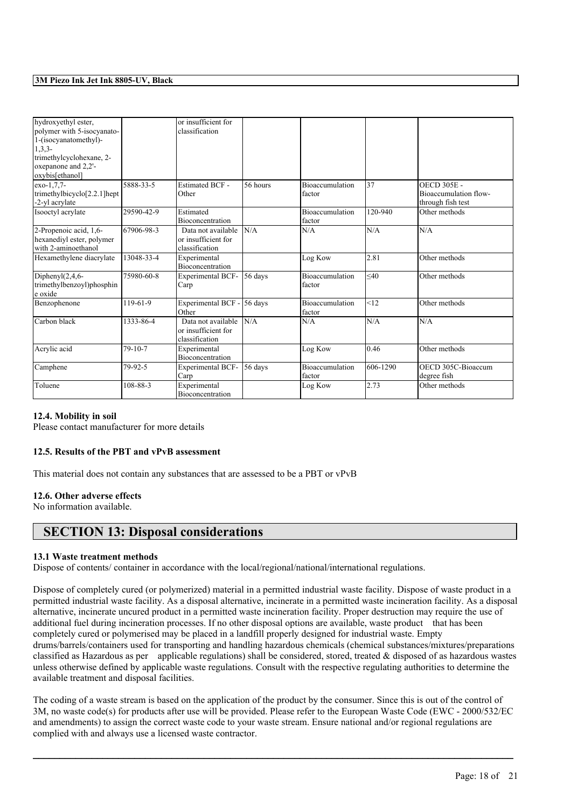|                                          |            | or insufficient for      |          |                        |          |                       |
|------------------------------------------|------------|--------------------------|----------|------------------------|----------|-----------------------|
| hydroxyethyl ester,                      |            |                          |          |                        |          |                       |
| polymer with 5-isocyanato-               |            | classification           |          |                        |          |                       |
| 1-(isocyanatomethyl)-                    |            |                          |          |                        |          |                       |
| $1,3,3-$                                 |            |                          |          |                        |          |                       |
| trimethylcyclohexane, 2-                 |            |                          |          |                        |          |                       |
| oxepanone and 2,2'-                      |            |                          |          |                        |          |                       |
| oxybis[ethanol]                          |            |                          |          |                        |          |                       |
| exo-1,7,7-                               | 5888-33-5  | <b>Estimated BCF -</b>   | 56 hours | <b>Bioaccumulation</b> | 37       | <b>OECD 305E -</b>    |
| trimethylbicyclo <sup>[2.2.1]</sup> hept |            | Other                    |          | factor                 |          | Bioaccumulation flow- |
| -2-yl acrylate                           |            |                          |          |                        |          | through fish test     |
| Isooctyl acrylate                        | 29590-42-9 | Estimated                |          | <b>Bioaccumulation</b> | 120-940  | Other methods         |
|                                          |            | <b>Bioconcentration</b>  |          | factor                 |          |                       |
| 2-Propenoic acid, 1,6-                   | 67906-98-3 | Data not available       | N/A      | N/A                    | N/A      | N/A                   |
| hexanediyl ester, polymer                |            | or insufficient for      |          |                        |          |                       |
| with 2-aminoethanol                      |            | classification           |          |                        |          |                       |
| Hexamethylene diacrylate                 | 13048-33-4 | Experimental             |          | Log Kow                | 2.81     | Other methods         |
|                                          |            | Bioconcentration         |          |                        |          |                       |
| Diphenyl $(2,4,6$ -                      | 75980-60-8 | <b>Experimental BCF-</b> | 56 days  | <b>Bioaccumulation</b> | $<$ 40   | Other methods         |
| trimethylbenzoyl)phosphin                |            | Carp                     |          | factor                 |          |                       |
| e oxide                                  |            |                          |          |                        |          |                       |
| Benzophenone                             | 119-61-9   | Experimental BCF -       | 56 days  | Bioaccumulation        | <12      | Other methods         |
|                                          |            | Other                    |          | factor                 |          |                       |
| Carbon black                             | 1333-86-4  | Data not available       | N/A      | N/A                    | N/A      | N/A                   |
|                                          |            | or insufficient for      |          |                        |          |                       |
|                                          |            | classification           |          |                        |          |                       |
| Acrylic acid                             | 79-10-7    | Experimental             |          | Log Kow                | 0.46     | Other methods         |
|                                          |            | Bioconcentration         |          |                        |          |                       |
| Camphene                                 | 79-92-5    | <b>Experimental BCF-</b> | 56 days  | <b>Bioaccumulation</b> | 606-1290 | OECD 305C-Bioaccum    |
|                                          |            | Carp                     |          | factor                 |          | degree fish           |
| Toluene                                  | 108-88-3   | Experimental             |          | Log Kow                | 2.73     | Other methods         |
|                                          |            | Bioconcentration         |          |                        |          |                       |

#### **12.4. Mobility in soil**

Please contact manufacturer for more details

#### **12.5. Results of the PBT and vPvB assessment**

This material does not contain any substances that are assessed to be a PBT or vPvB

#### **12.6. Other adverse effects**

No information available.

### **SECTION 13: Disposal considerations**

#### **13.1 Waste treatment methods**

Dispose of contents/ container in accordance with the local/regional/national/international regulations.

Dispose of completely cured (or polymerized) material in a permitted industrial waste facility. Dispose of waste product in a permitted industrial waste facility. As a disposal alternative, incinerate in a permitted waste incineration facility. As a disposal alternative, incinerate uncured product in a permitted waste incineration facility. Proper destruction may require the use of additional fuel during incineration processes. If no other disposal options are available, waste product that has been completely cured or polymerised may be placed in a landfill properly designed for industrial waste. Empty drums/barrels/containers used for transporting and handling hazardous chemicals (chemical substances/mixtures/preparations classified as Hazardous as per applicable regulations) shall be considered, stored, treated & disposed of as hazardous wastes unless otherwise defined by applicable waste regulations. Consult with the respective regulating authorities to determine the available treatment and disposal facilities.

The coding of a waste stream is based on the application of the product by the consumer. Since this is out of the control of 3M, no waste code(s) for products after use will be provided. Please refer to the European Waste Code (EWC - 2000/532/EC and amendments) to assign the correct waste code to your waste stream. Ensure national and/or regional regulations are complied with and always use a licensed waste contractor.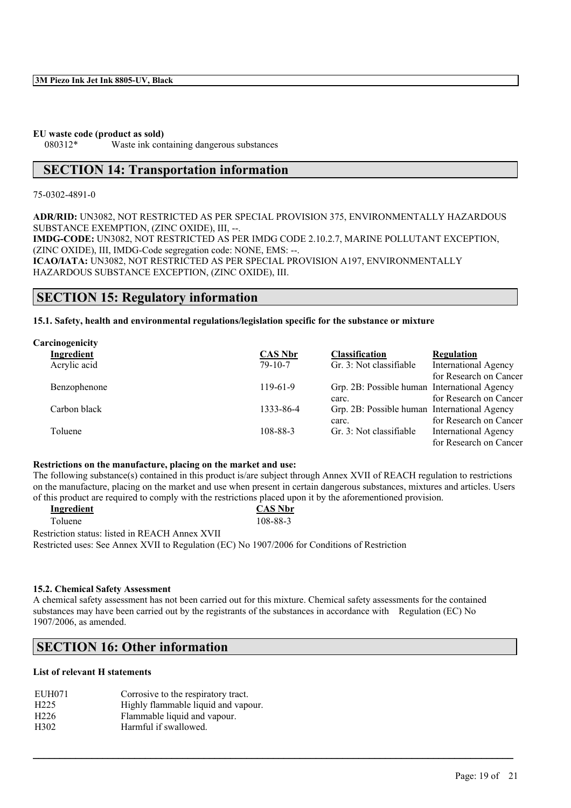**EU waste code (product as sold)**

080312\* Waste ink containing dangerous substances

### **SECTION 14: Transportation information**

#### 75-0302-4891-0

**ADR/RID:** UN3082, NOT RESTRICTED AS PER SPECIAL PROVISION 375, ENVIRONMENTALLY HAZARDOUS SUBSTANCE EXEMPTION, (ZINC OXIDE), III, --.

**IMDG-CODE:** UN3082, NOT RESTRICTED AS PER IMDG CODE 2.10.2.7, MARINE POLLUTANT EXCEPTION, (ZINC OXIDE), III, IMDG-Code segregation code: NONE, EMS: --. **ICAO/IATA:** UN3082, NOT RESTRICTED AS PER SPECIAL PROVISION A197, ENVIRONMENTALLY HAZARDOUS SUBSTANCE EXCEPTION, (ZINC OXIDE), III.

### **SECTION 15: Regulatory information**

#### **15.1. Safety, health and environmental regulations/legislation specific for the substance or mixture**

| Carcinogenicity |                |                                              |                             |
|-----------------|----------------|----------------------------------------------|-----------------------------|
| Ingredient      | <b>CAS Nbr</b> | <b>Classification</b>                        | <b>Regulation</b>           |
| Acrylic acid    | $79 - 10 - 7$  | Gr. 3: Not classifiable                      | <b>International Agency</b> |
|                 |                |                                              | for Research on Cancer      |
| Benzophenone    | $119-61-9$     | Grp. 2B: Possible human International Agency |                             |
|                 |                | carc.                                        | for Research on Cancer      |
| Carbon black    | 1333-86-4      | Grp. 2B: Possible human International Agency |                             |
|                 |                | carc.                                        | for Research on Cancer      |
| Toluene         | 108-88-3       | Gr. 3: Not classifiable                      | <b>International Agency</b> |
|                 |                |                                              | for Research on Cancer      |

#### **Restrictions on the manufacture, placing on the market and use:**

The following substance(s) contained in this product is/are subject through Annex XVII of REACH regulation to restrictions on the manufacture, placing on the market and use when present in certain dangerous substances, mixtures and articles. Users of this product are required to comply with the restrictions placed upon it by the aforementioned provision.

| Ingredient                                                                                    | <b>CAS Nbr</b> |
|-----------------------------------------------------------------------------------------------|----------------|
| <b>Toluene</b>                                                                                | 108-88-3       |
| Restriction status: listed in REACH Annex XVII                                                |                |
| Restricted uses: See Annex XVII to Regulation (EC) No 1907/2006 for Conditions of Restriction |                |

#### **15.2. Chemical Safety Assessment**

A chemical safety assessment has not been carried out for this mixture. Chemical safety assessments for the contained substances may have been carried out by the registrants of the substances in accordance with Regulation (EC) No 1907/2006, as amended.

 $\mathcal{L}_\mathcal{L} = \mathcal{L}_\mathcal{L} = \mathcal{L}_\mathcal{L} = \mathcal{L}_\mathcal{L} = \mathcal{L}_\mathcal{L} = \mathcal{L}_\mathcal{L} = \mathcal{L}_\mathcal{L} = \mathcal{L}_\mathcal{L} = \mathcal{L}_\mathcal{L} = \mathcal{L}_\mathcal{L} = \mathcal{L}_\mathcal{L} = \mathcal{L}_\mathcal{L} = \mathcal{L}_\mathcal{L} = \mathcal{L}_\mathcal{L} = \mathcal{L}_\mathcal{L} = \mathcal{L}_\mathcal{L} = \mathcal{L}_\mathcal{L}$ 

### **SECTION 16: Other information**

#### **List of relevant H statements**

| EUH071            | Corrosive to the respiratory tract. |
|-------------------|-------------------------------------|
| H <sub>225</sub>  | Highly flammable liquid and vapour. |
| H <sub>226</sub>  | Flammable liquid and vapour.        |
| H <sub>3</sub> 02 | Harmful if swallowed.               |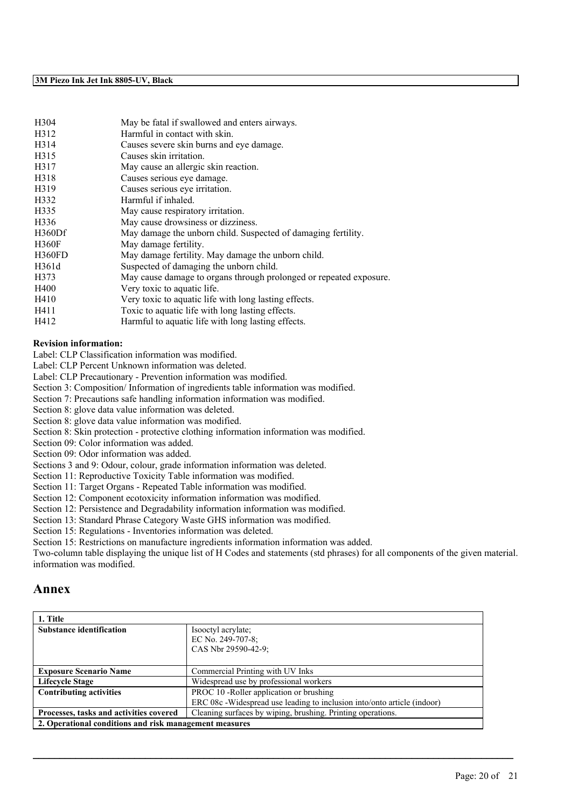| May be fatal if swallowed and enters airways.                      |
|--------------------------------------------------------------------|
| Harmful in contact with skin.                                      |
| Causes severe skin burns and eye damage.                           |
| Causes skin irritation.                                            |
| May cause an allergic skin reaction.                               |
| Causes serious eye damage.                                         |
| Causes serious eye irritation.                                     |
| Harmful if inhaled.                                                |
| May cause respiratory irritation.                                  |
| May cause drowsiness or dizziness.                                 |
| May damage the unborn child. Suspected of damaging fertility.      |
| May damage fertility.                                              |
| May damage fertility. May damage the unborn child.                 |
| Suspected of damaging the unborn child.                            |
| May cause damage to organs through prolonged or repeated exposure. |
| Very toxic to aquatic life.                                        |
| Very toxic to aquatic life with long lasting effects.              |
| Toxic to aquatic life with long lasting effects.                   |
| Harmful to aquatic life with long lasting effects.                 |
|                                                                    |

#### **Revision information:**

Label: CLP Classification information was modified.

Label: CLP Percent Unknown information was deleted.

Label: CLP Precautionary - Prevention information was modified.

Section 3: Composition/ Information of ingredients table information was modified.

Section 7: Precautions safe handling information information was modified.

Section 8: glove data value information was deleted.

Section 8: glove data value information was modified.

Section 8: Skin protection - protective clothing information information was modified.

Section 09: Color information was added.

Section 09: Odor information was added.

Sections 3 and 9: Odour, colour, grade information information was deleted. Section 11: Reproductive Toxicity Table information was modified.

Section 11: Target Organs - Repeated Table information was modified.

Section 12: Component ecotoxicity information information was modified.

Section 12: Persistence and Degradability information information was modified.

Section 13: Standard Phrase Category Waste GHS information was modified.

Section 15: Regulations - Inventories information was deleted.

Section 15: Restrictions on manufacture ingredients information information was added.

Two-column table displaying the unique list of H Codes and statements (std phrases) for all components of the given material. information was modified.

### **Annex**

| 1. Title                                               |                                                                         |
|--------------------------------------------------------|-------------------------------------------------------------------------|
| <b>Substance identification</b>                        | Isoloctyl acrylate;                                                     |
|                                                        | EC No. 249-707-8;                                                       |
|                                                        | CAS Nbr 29590-42-9;                                                     |
|                                                        |                                                                         |
| <b>Exposure Scenario Name</b>                          | Commercial Printing with UV Inks                                        |
| <b>Lifecycle Stage</b>                                 | Widespread use by professional workers                                  |
| <b>Contributing activities</b>                         | PROC 10 -Roller application or brushing                                 |
|                                                        | ERC 08c -Widespread use leading to inclusion into/onto article (indoor) |
| Processes, tasks and activities covered                | Cleaning surfaces by wiping, brushing. Printing operations.             |
| 2. Operational conditions and risk management measures |                                                                         |